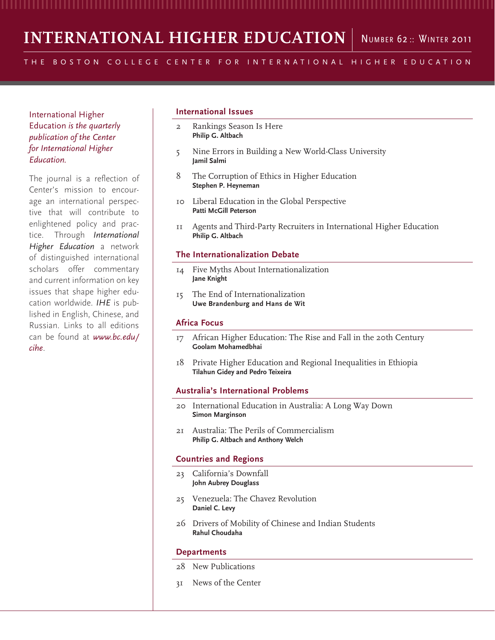# **INTERNATIONAL HIGHER EDUCATION**

Number 62 :: Winter 2011

## THE BOSTON COLLEGE CENTER FOR INTERNATIONAL HIGHER EDUCATION

International Higher Education *is the quarterly publication of the Center for International Higher Education.*

The journal is a reflection of Center's mission to encourage an international perspective that will contribute to enlightened policy and practice. Through *International Higher Education* a network of distinguished international scholars offer commentary and current information on key issues that shape higher education worldwide. *IHE* is published in English, Chinese, and Russian. Links to all editions can be found at *www.bc.edu/ cihe*.

### **International Issues**

- 2 Rankings Season Is Here **Philip G. Altbach**
- 5 Nine Errors in Building a New World-Class University **Jamil Salmi**
- 8 The Corruption of Ethics in Higher Education **Stephen P. Heyneman**
- 10 Liberal Education in the Global Perspective **Patti McGill Peterson**
- 11 Agents and Third-Party Recruiters in International Higher Education **Philip G. Altbach**

## **The Internationalization Debate**

- 14 Five Myths About Internationalization **Jane Knight**
- 15 The End of Internationalization **Uwe Brandenburg and Hans de Wit**

#### **Africa Focus**

- 17 African Higher Education: The Rise and Fall in the 20th Century **Goolam Mohamedbhai**
- 18 Private Higher Education and Regional Inequalities in Ethiopia **Tilahun Gidey and Pedro Teixeira**

## **Australia's International Problems**

- 20 International Education in Australia: A Long Way Down **Simon Marginson**
- 21 Australia: The Perils of Commercialism **Philip G. Altbach and Anthony Welch**

## **Countries and Regions**

- 23 California's Downfall **John Aubrey Douglass**
- 25 Venezuela: The Chavez Revolution **Daniel C. Levy**
- 26 Drivers of Mobility of Chinese and Indian Students **Rahul Choudaha**

#### **Departments**

- 28 New Publications
- 31 News of the Center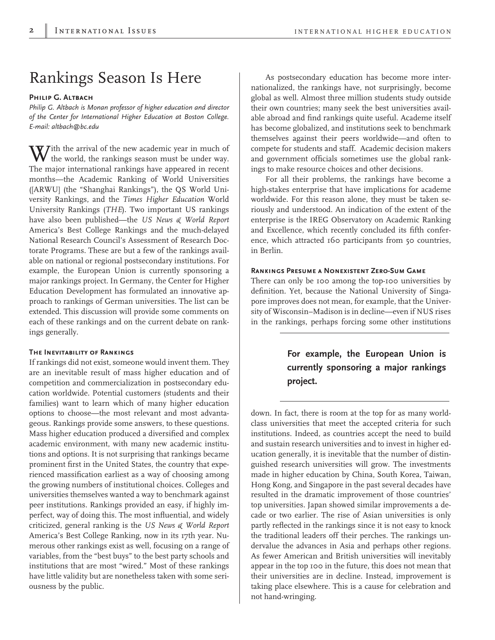## Rankings Season Is Here

#### **Philip G. Altbach**

*Philip G. Altbach is Monan professor of higher education and director of the Center for International Higher Education at Boston College. E-mail: altbach@bc.edu*

 $\mathbf{W}$  ith the arrival of the new academic year in much of the world, the rankings season must be under way. The major international rankings have appeared in recent months—the Academic Ranking of World Universities ([ARWU] (the "Shanghai Rankings"), the QS World University Rankings, and the *Times Higher Education* World University Rankings (*THE*). Two important US rankings have also been published—the *US News & World Report*  America's Best College Rankings and the much-delayed National Research Council's Assessment of Research Doctorate Programs. These are but a few of the rankings available on national or regional postsecondary institutions. For example, the European Union is currently sponsoring a major rankings project. In Germany, the Center for Higher Education Development has formulated an innovative approach to rankings of German universities. The list can be extended. This discussion will provide some comments on each of these rankings and on the current debate on rankings generally.

#### **The Inevitability of Rankings**

If rankings did not exist, someone would invent them. They are an inevitable result of mass higher education and of competition and commercialization in postsecondary education worldwide. Potential customers (students and their families) want to learn which of many higher education options to choose—the most relevant and most advantageous. Rankings provide some answers, to these questions. Mass higher education produced a diversified and complex academic environment, with many new academic institutions and options. It is not surprising that rankings became prominent first in the United States, the country that experienced massification earliest as a way of choosing among the growing numbers of institutional choices. Colleges and universities themselves wanted a way to benchmark against peer institutions. Rankings provided an easy, if highly imperfect, way of doing this. The most influential, and widely criticized, general ranking is the *US News & World Report*  America's Best College Ranking, now in its 17th year. Numerous other rankings exist as well, focusing on a range of variables, from the "best buys" to the best party schools and institutions that are most "wired." Most of these rankings have little validity but are nonetheless taken with some seriousness by the public.

As postsecondary education has become more internationalized, the rankings have, not surprisingly, become global as well. Almost three million students study outside their own countries; many seek the best universities available abroad and find rankings quite useful. Academe itself has become globalized, and institutions seek to benchmark themselves against their peers worldwide—and often to compete for students and staff. Academic decision makers and government officials sometimes use the global rankings to make resource choices and other decisions.

For all their problems, the rankings have become a high-stakes enterprise that have implications for academe worldwide. For this reason alone, they must be taken seriously and understood. An indication of the extent of the enterprise is the IREG Observatory on Academic Ranking and Excellence, which recently concluded its fifth conference, which attracted 160 participants from 50 countries, in Berlin.

#### **Rankings Presume a Nonexistent Zero-Sum Game**

There can only be 100 among the top-100 universities by definition. Yet, because the National University of Singapore improves does not mean, for example, that the University of Wisconsin–Madison is in decline—even if NUS rises in the rankings, perhaps forcing some other institutions

## **For example, the European Union is currently sponsoring a major rankings project.**

down. In fact, there is room at the top for as many worldclass universities that meet the accepted criteria for such institutions. Indeed, as countries accept the need to build and sustain research universities and to invest in higher education generally, it is inevitable that the number of distinguished research universities will grow. The investments made in higher education by China, South Korea, Taiwan, Hong Kong, and Singapore in the past several decades have resulted in the dramatic improvement of those countries' top universities. Japan showed similar improvements a decade or two earlier. The rise of Asian universities is only partly reflected in the rankings since it is not easy to knock the traditional leaders off their perches. The rankings undervalue the advances in Asia and perhaps other regions. As fewer American and British universities will inevitably appear in the top 100 in the future, this does not mean that their universities are in decline. Instead, improvement is taking place elsewhere. This is a cause for celebration and not hand-wringing.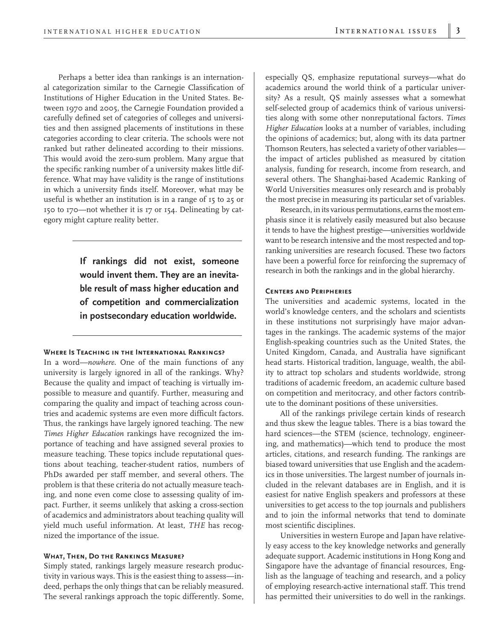Perhaps a better idea than rankings is an international categorization similar to the Carnegie Classification of Institutions of Higher Education in the United States. Between 1970 and 2005, the Carnegie Foundation provided a carefully defined set of categories of colleges and universities and then assigned placements of institutions in these categories according to clear criteria. The schools were not ranked but rather delineated according to their missions. This would avoid the zero-sum problem. Many argue that the specific ranking number of a university makes little difference. What may have validity is the range of institutions in which a university finds itself. Moreover, what may be useful is whether an institution is in a range of 15 to 25 or 150 to 170—not whether it is 17 or 154. Delineating by category might capture reality better.

> **If rankings did not exist, someone would invent them. They are an inevitable result of mass higher education and of competition and commercialization in postsecondary education worldwide.**

#### **Where Is Teaching in the International Rankings?**

In a word—*nowhere*. One of the main functions of any university is largely ignored in all of the rankings. Why? Because the quality and impact of teaching is virtually impossible to measure and quantify. Further, measuring and comparing the quality and impact of teaching across countries and academic systems are even more difficult factors. Thus, the rankings have largely ignored teaching. The new *Times Higher Education* rankings have recognized the importance of teaching and have assigned several proxies to measure teaching. These topics include reputational questions about teaching, teacher-student ratios, numbers of PhDs awarded per staff member, and several others. The problem is that these criteria do not actually measure teaching, and none even come close to assessing quality of impact. Further, it seems unlikely that asking a cross-section of academics and administrators about teaching quality will yield much useful information. At least, *THE* has recognized the importance of the issue.

#### **What, Then, Do the Rankings Measure?**

Simply stated, rankings largely measure research productivity in various ways. This is the easiest thing to assess—indeed, perhaps the only things that can be reliably measured. The several rankings approach the topic differently. Some, especially QS, emphasize reputational surveys—what do academics around the world think of a particular university? As a result, QS mainly assesses what a somewhat self-selected group of academics think of various universities along with some other nonreputational factors. *Times Higher Education* looks at a number of variables, including the opinions of academics; but, along with its data partner Thomson Reuters, has selected a variety of other variables the impact of articles published as measured by citation analysis, funding for research, income from research, and several others. The Shanghai-based Academic Ranking of World Universities measures only research and is probably the most precise in measuring its particular set of variables.

Research, in its various permutations, earns the most emphasis since it is relatively easily measured but also because it tends to have the highest prestige—universities worldwide want to be research intensive and the most respected and topranking universities are research focused. These two factors have been a powerful force for reinforcing the supremacy of research in both the rankings and in the global hierarchy.

#### **Centers and Peripheries**

The universities and academic systems, located in the world's knowledge centers, and the scholars and scientists in these institutions not surprisingly have major advantages in the rankings. The academic systems of the major English-speaking countries such as the United States, the United Kingdom, Canada, and Australia have significant head starts. Historical tradition, language, wealth, the ability to attract top scholars and students worldwide, strong traditions of academic freedom, an academic culture based on competition and meritocracy, and other factors contribute to the dominant positions of these universities.

All of the rankings privilege certain kinds of research and thus skew the league tables. There is a bias toward the hard sciences—the STEM (science, technology, engineering, and mathematics)—which tend to produce the most articles, citations, and research funding. The rankings are biased toward universities that use English and the academics in those universities. The largest number of journals included in the relevant databases are in English, and it is easiest for native English speakers and professors at these universities to get access to the top journals and publishers and to join the informal networks that tend to dominate most scientific disciplines.

Universities in western Europe and Japan have relatively easy access to the key knowledge networks and generally adequate support. Academic institutions in Hong Kong and Singapore have the advantage of financial resources, English as the language of teaching and research, and a policy of employing research-active international staff. This trend has permitted their universities to do well in the rankings.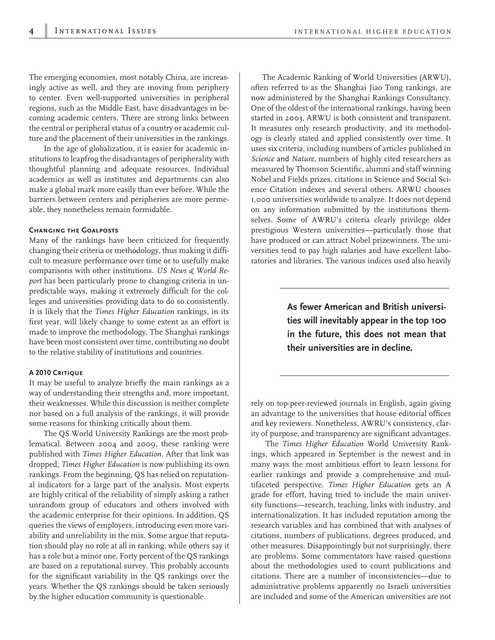The emerging economies, most notably China, are increasingly active as well, and they are moving from periphery to center. Even well-supported universities in peripheral regions, such as the Middle East, have disadvantages in becoming academic centers. There are strong links between the central or peripheral status of a country or academic culture and the placement of their universities in the rankings.

In the age of globalization, it is easier for academic institutions to leapfrog the disadvantages of peripherality with thoughtful planning and adequate resources. Individual academics as well as institutes and departments can also make a global mark more easily than ever before. While the barriers between centers and peripheries are more permeable, they nonetheless remain formidable.

#### **Changing the Goalposts**

Many of the rankings have been criticized for frequently changing their criteria or methodology, thus making it difficult to measure performance over time or to usefully make comparisons with other institutions. *US News & World Report* has been particularly prone to changing criteria in unpredictable ways, making it extremely difficult for the colleges and universities providing data to do so consistently. It is likely that the *Times Higher Education* rankings, in its first year, will likely change to some extent as an effort is made to improve the methodology. The Shanghai rankings have been most consistent over time, contributing no doubt to the relative stability of institutions and countries.

#### **A 2010 Critique**

It may be useful to analyze briefly the main rankings as a way of understanding their strengths and, more important, their weaknesses. While this discussion is neither complete nor based on a full analysis of the rankings, it will provide some reasons for thinking critically about them.

The QS World University Rankings are the most problematical. Between 2004 and 2009, these ranking were published with *Times Higher Education*. After that link was dropped, *Times Higher Education* is now publishing its own rankings. From the beginning, QS has relied on reputational indicators for a large part of the analysis. Most experts are highly critical of the reliability of simply asking a rather unrandom group of educators and others involved with the academic enterprise for their opinions. In addition, QS queries the views of employers, introducing even more variability and unreliability in the mix. Some argue that reputation should play no role at all in ranking, while others say it has a role but a minor one. Forty percent of the QS rankings are based on a reputational survey. This probably accounts for the significant variability in the QS rankings over the years. Whether the QS rankings should be taken seriously by the higher education community is questionable.

The Academic Ranking of World Universities (ARWU), often referred to as the Shanghai Jiao Tong rankings, are now administered by the Shanghai Rankings Consultancy. One of the oldest of the international rankings, having been started in 2003, ARWU is both consistent and transparent. It measures only research productivity, and its methodology is clearly stated and applied consistently over time. It uses six criteria, including numbers of articles published in *Science* and *Nature*, numbers of highly cited researchers as measured by Thomson Scientific, alumni and staff winning Nobel and Fields prizes, citations in Science and Social Science Citation indexes and several others. ARWU chooses 1,000 universities worldwide to analyze. It does not depend on any information submitted by the institutions themselves. Some of AWRU's criteria clearly privilege older prestigious Western universities—particularly those that have produced or can attract Nobel prizewinners. The universities tend to pay high salaries and have excellent laboratories and libraries. The various indices used also heavily

> **As fewer American and British universities will inevitably appear in the top 100 in the future, this does not mean that their universities are in decline.**

rely on top-peer-reviewed journals in English, again giving an advantage to the universities that house editorial offices and key reviewers. Nonetheless, AWRU's consistency, clarity of purpose, and transparency are significant advantages.

The *Times Higher Education* World University Rankings, which appeared in September is the newest and in many ways the most ambitious effort to learn lessons for earlier rankings and provide a comprehensive and multifaceted perspective. *Times Higher Education* gets an A grade for effort, having tried to include the main university functions—research, teaching, links with industry, and internationalization. It has included reputation among the research variables and has combined that with analyses of citations, numbers of publications, degrees produced, and other measures. Disappointingly but not surprisingly, there are problems. Some commentators have raised questions about the methodologies used to count publications and citations. There are a number of inconsistencies—due to administrative problems apparently no Israeli universities are included and some of the American universities are not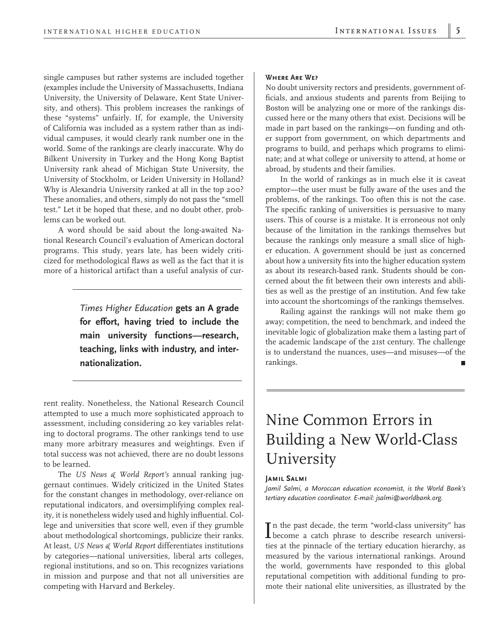single campuses but rather systems are included together (examples include the University of Massachusetts, Indiana University, the University of Delaware, Kent State University, and others). This problem increases the rankings of these "systems" unfairly. If, for example, the University of California was included as a system rather than as individual campuses, it would clearly rank number one in the world. Some of the rankings are clearly inaccurate. Why do Bilkent University in Turkey and the Hong Kong Baptist University rank ahead of Michigan State University, the University of Stockholm, or Leiden University in Holland? Why is Alexandria University ranked at all in the top 200? These anomalies, and others, simply do not pass the "smell test." Let it be hoped that these, and no doubt other, problems can be worked out.

A word should be said about the long-awaited National Research Council's evaluation of American doctoral programs. This study, years late, has been widely criticized for methodological flaws as well as the fact that it is more of a historical artifact than a useful analysis of cur-

> *Times Higher Education* **gets an A grade for effort, having tried to include the main university functions—research, teaching, links with industry, and internationalization.**

rent reality. Nonetheless, the National Research Council attempted to use a much more sophisticated approach to assessment, including considering 20 key variables relating to doctoral programs. The other rankings tend to use many more arbitrary measures and weightings. Even if total success was not achieved, there are no doubt lessons to be learned.

The *US News & World Report's* annual ranking juggernaut continues. Widely criticized in the United States for the constant changes in methodology, over-reliance on reputational indicators, and oversimplifying complex reality, it is nonetheless widely used and highly influential. College and universities that score well, even if they grumble about methodological shortcomings, publicize their ranks. At least, *US News & World Report* differentiates institutions by categories—national universities, liberal arts colleges, regional institutions, and so on. This recognizes variations in mission and purpose and that not all universities are competing with Harvard and Berkeley.

#### **Where Are We?**

No doubt university rectors and presidents, government officials, and anxious students and parents from Beijing to Boston will be analyzing one or more of the rankings discussed here or the many others that exist. Decisions will be made in part based on the rankings—on funding and other support from government, on which departments and programs to build, and perhaps which programs to eliminate; and at what college or university to attend, at home or abroad, by students and their families.

In the world of rankings as in much else it is caveat emptor—the user must be fully aware of the uses and the problems, of the rankings. Too often this is not the case. The specific ranking of universities is persuasive to many users. This of course is a mistake. It is erroneous not only because of the limitation in the rankings themselves but because the rankings only measure a small slice of higher education. A government should be just as concerned about how a university fits into the higher education system as about its research-based rank. Students should be concerned about the fit between their own interests and abilities as well as the prestige of an institution. And few take into account the shortcomings of the rankings themselves.

Railing against the rankings will not make them go away; competition, the need to benchmark, and indeed the inevitable logic of globalization make them a lasting part of the academic landscape of the 21st century. The challenge is to understand the nuances, uses—and misuses—of the rankings.

## Nine Common Errors in Building a New World-Class University

### **Jamil Salmi**

*Jamil Salmi, a Moroccan education economist, is the World Bank's tertiary education coordinator. E-mail: jsalmi@worldbank.org.*

In the past decade, the term "world-class university" has<br>become a catch phrase to describe research universi-Tn the past decade, the term "world-class university" has ties at the pinnacle of the tertiary education hierarchy, as measured by the various international rankings. Around the world, governments have responded to this global reputational competition with additional funding to promote their national elite universities, as illustrated by the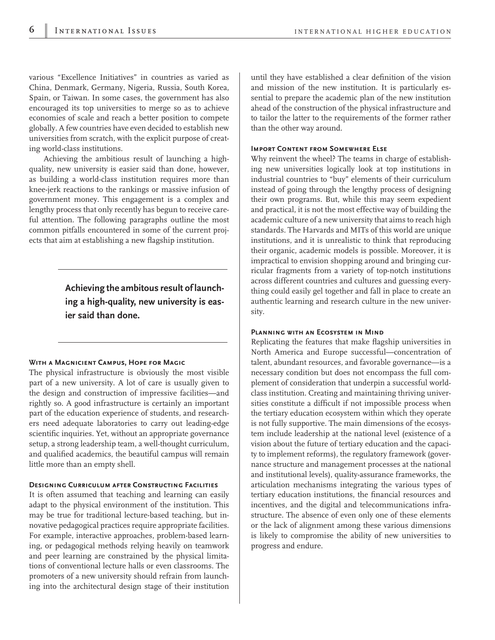various "Excellence Initiatives" in countries as varied as China, Denmark, Germany, Nigeria, Russia, South Korea, Spain, or Taiwan. In some cases, the government has also encouraged its top universities to merge so as to achieve economies of scale and reach a better position to compete globally. A few countries have even decided to establish new universities from scratch, with the explicit purpose of creating world-class institutions.

Achieving the ambitious result of launching a highquality, new university is easier said than done, however, as building a world-class institution requires more than knee-jerk reactions to the rankings or massive infusion of government money. This engagement is a complex and lengthy process that only recently has begun to receive careful attention. The following paragraphs outline the most common pitfalls encountered in some of the current projects that aim at establishing a new flagship institution.

> **Achieving the ambitous result of launching a high-quality, new university is easier said than done.**

#### **With a Magnicient Campus, Hope for Magic**

The physical infrastructure is obviously the most visible part of a new university. A lot of care is usually given to the design and construction of impressive facilities—and rightly so. A good infrastructure is certainly an important part of the education experience of students, and researchers need adequate laboratories to carry out leading-edge scientific inquiries. Yet, without an appropriate governance setup, a strong leadership team, a well-thought curriculum, and qualified academics, the beautiful campus will remain little more than an empty shell.

### **Designing Curriculum after Constructing Facilities**

It is often assumed that teaching and learning can easily adapt to the physical environment of the institution. This may be true for traditional lecture-based teaching, but innovative pedagogical practices require appropriate facilities. For example, interactive approaches, problem-based learning, or pedagogical methods relying heavily on teamwork and peer learning are constrained by the physical limitations of conventional lecture halls or even classrooms. The promoters of a new university should refrain from launching into the architectural design stage of their institution

until they have established a clear definition of the vision and mission of the new institution. It is particularly essential to prepare the academic plan of the new institution ahead of the construction of the physical infrastructure and to tailor the latter to the requirements of the former rather than the other way around.

#### **IMPORT CONTENT FROM SOMEWHERE ELSE**

Why reinvent the wheel? The teams in charge of establishing new universities logically look at top institutions in industrial countries to "buy" elements of their curriculum instead of going through the lengthy process of designing their own programs. But, while this may seem expedient and practical, it is not the most effective way of building the academic culture of a new university that aims to reach high standards. The Harvards and MITs of this world are unique institutions, and it is unrealistic to think that reproducing their organic, academic models is possible. Moreover, it is impractical to envision shopping around and bringing curricular fragments from a variety of top-notch institutions across different countries and cultures and guessing everything could easily gel together and fall in place to create an authentic learning and research culture in the new university.

#### **Planning with an Ecosystem in Mind**

Replicating the features that make flagship universities in North America and Europe successful—concentration of talent, abundant resources, and favorable governance—is a necessary condition but does not encompass the full complement of consideration that underpin a successful worldclass institution. Creating and maintaining thriving universities constitute a difficult if not impossible process when the tertiary education ecosystem within which they operate is not fully supportive. The main dimensions of the ecosystem include leadership at the national level (existence of a vision about the future of tertiary education and the capacity to implement reforms), the regulatory framework (governance structure and management processes at the national and institutional levels), quality-assurance frameworks, the articulation mechanisms integrating the various types of tertiary education institutions, the financial resources and incentives, and the digital and telecommunications infrastructure. The absence of even only one of these elements or the lack of alignment among these various dimensions is likely to compromise the ability of new universities to progress and endure.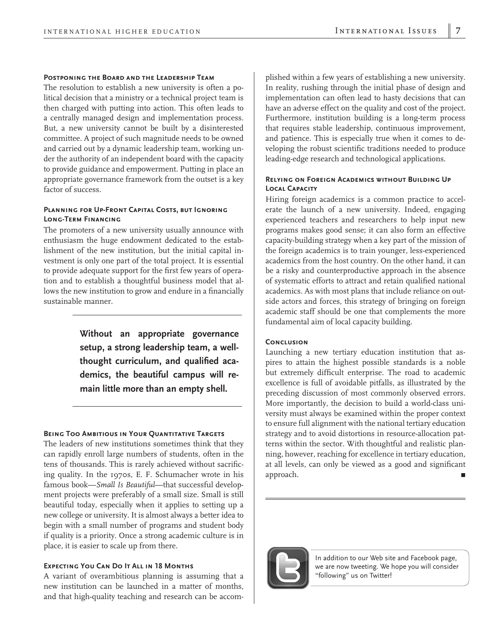#### **Postponing the Board and the Leadership Team**

The resolution to establish a new university is often a political decision that a ministry or a technical project team is then charged with putting into action. This often leads to a centrally managed design and implementation process. But, a new university cannot be built by a disinterested committee. A project of such magnitude needs to be owned and carried out by a dynamic leadership team, working under the authority of an independent board with the capacity to provide guidance and empowerment. Putting in place an appropriate governance framework from the outset is a key factor of success.

## **PLANNING FOR UP-FRONT CAPITAL COSTS, BUT IGNORING Long-Term Financing**

The promoters of a new university usually announce with enthusiasm the huge endowment dedicated to the establishment of the new institution, but the initial capital investment is only one part of the total project. It is essential to provide adequate support for the first few years of operation and to establish a thoughtful business model that allows the new institution to grow and endure in a financially sustainable manner.

> **Without an appropriate governance setup, a strong leadership team, a wellthought curriculum, and qualified academics, the beautiful campus will remain little more than an empty shell.**

#### **BEING TOO AMBITIOUS IN YOUR QUANTITATIVE TARGETS**

The leaders of new institutions sometimes think that they can rapidly enroll large numbers of students, often in the tens of thousands. This is rarely achieved without sacrificing quality. In the 1970s, E. F. Schumacher wrote in his famous book—*Small Is Beautiful*—that successful development projects were preferably of a small size. Small is still beautiful today, especially when it applies to setting up a new college or university. It is almost always a better idea to begin with a small number of programs and student body if quality is a priority. Once a strong academic culture is in place, it is easier to scale up from there.

### **Expecting You Can Do It All in 18 Months**

A variant of overambitious planning is assuming that a new institution can be launched in a matter of months, and that high-quality teaching and research can be accomplished within a few years of establishing a new university. In reality, rushing through the initial phase of design and implementation can often lead to hasty decisions that can have an adverse effect on the quality and cost of the project. Furthermore, institution building is a long-term process that requires stable leadership, continuous improvement, and patience. This is especially true when it comes to developing the robust scientific traditions needed to produce leading-edge research and technological applications.

#### **Relying on Foreign Academics without Building Up Local Capacity**

Hiring foreign academics is a common practice to accelerate the launch of a new university. Indeed, engaging experienced teachers and researchers to help input new programs makes good sense; it can also form an effective capacity-building strategy when a key part of the mission of the foreign academics is to train younger, less-experienced academics from the host country. On the other hand, it can be a risky and counterproductive approach in the absence of systematic efforts to attract and retain qualified national academics. As with most plans that include reliance on outside actors and forces, this strategy of bringing on foreign academic staff should be one that complements the more fundamental aim of local capacity building.

### **Conclusion**

Launching a new tertiary education institution that aspires to attain the highest possible standards is a noble but extremely difficult enterprise. The road to academic excellence is full of avoidable pitfalls, as illustrated by the preceding discussion of most commonly observed errors. More importantly, the decision to build a world-class university must always be examined within the proper context to ensure full alignment with the national tertiary education strategy and to avoid distortions in resource-allocation patterns within the sector. With thoughtful and realistic planning, however, reaching for excellence in tertiary education, at all levels, can only be viewed as a good and significant approach.



In addition to our Web site and Facebook page, we are now tweeting. We hope you will consider "following" us on Twitter!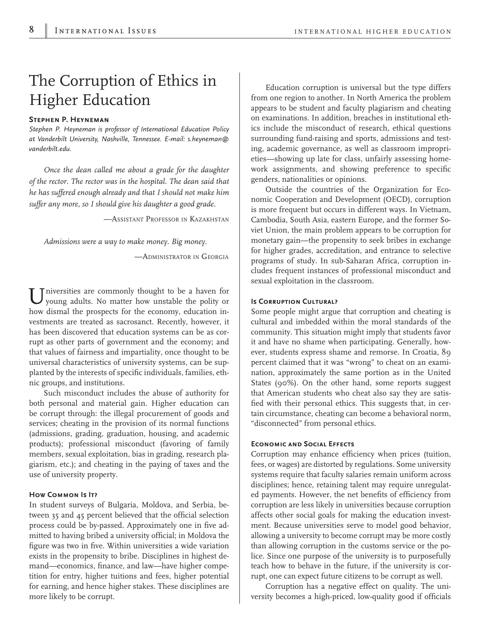## The Corruption of Ethics in Higher Education

## **Stephen P. Heyneman**

*Stephen P. Heyneman is professor of International Education Policy at Vanderbilt University, Nashville, Tennessee. E-mail: s.heyneman@ vanderbilt.edu.*

*Once the dean called me about a grade for the daughter of the rector. The rector was in the hospital. The dean said that he has suffered enough already and that I should not make him suffer any more, so I should give his daughter a good grade.* 

—Assistant Professor in Kazakhstan

*Admissions were a way to make money. Big money.*

—Administrator in Georgia

Universities are commonly thought to be a haven for young adults. No matter how unstable the polity or how dismal the prospects for the economy, education investments are treated as sacrosanct. Recently, however, it has been discovered that education systems can be as corrupt as other parts of government and the economy; and that values of fairness and impartiality, once thought to be universal characteristics of university systems, can be supplanted by the interests of specific individuals, families, ethnic groups, and institutions.

Such misconduct includes the abuse of authority for both personal and material gain. Higher education can be corrupt through: the illegal procurement of goods and services; cheating in the provision of its normal functions (admissions, grading, graduation, housing, and academic products); professional misconduct (favoring of family members, sexual exploitation, bias in grading, research plagiarism, etc.); and cheating in the paying of taxes and the use of university property.

### **How Common Is It?**

In student surveys of Bulgaria, Moldova, and Serbia, between 35 and 45 percent believed that the official selection process could be by-passed. Approximately one in five admitted to having bribed a university official; in Moldova the figure was two in five. Within universities a wide variation exists in the propensity to bribe. Disciplines in highest demand—economics, finance, and law—have higher competition for entry, higher tuitions and fees, higher potential for earning, and hence higher stakes. These disciplines are more likely to be corrupt.

Education corruption is universal but the type differs from one region to another. In North America the problem appears to be student and faculty plagiarism and cheating on examinations. In addition, breaches in institutional ethics include the misconduct of research, ethical questions surrounding fund-raising and sports, admissions and testing, academic governance, as well as classroom improprieties—showing up late for class, unfairly assessing homework assignments, and showing preference to specific genders, nationalities or opinions.

Outside the countries of the Organization for Economic Cooperation and Development (OECD), corruption is more frequent but occurs in different ways. In Vietnam, Cambodia, South Asia, eastern Europe, and the former Soviet Union, the main problem appears to be corruption for monetary gain—the propensity to seek bribes in exchange for higher grades, accreditation, and entrance to selective programs of study. In sub-Saharan Africa, corruption includes frequent instances of professional misconduct and sexual exploitation in the classroom.

### **Is Corruption Cultural?**

Some people might argue that corruption and cheating is cultural and imbedded within the moral standards of the community. This situation might imply that students favor it and have no shame when participating. Generally, however, students express shame and remorse. In Croatia, 89 percent claimed that it was "wrong" to cheat on an examination, approximately the same portion as in the United States (90%). On the other hand, some reports suggest that American students who cheat also say they are satisfied with their personal ethics. This suggests that, in certain circumstance, cheating can become a behavioral norm, "disconnected" from personal ethics.

### **Economic and Social Effects**

Corruption may enhance efficiency when prices (tuition, fees, or wages) are distorted by regulations. Some university systems require that faculty salaries remain uniform across disciplines; hence, retaining talent may require unregulated payments. However, the net benefits of efficiency from corruption are less likely in universities because corruption affects other social goals for making the education investment. Because universities serve to model good behavior, allowing a university to become corrupt may be more costly than allowing corruption in the customs service or the police. Since one purpose of the university is to purposefully teach how to behave in the future, if the university is corrupt, one can expect future citizens to be corrupt as well.

Corruption has a negative effect on quality. The university becomes a high-priced, low-quality good if officials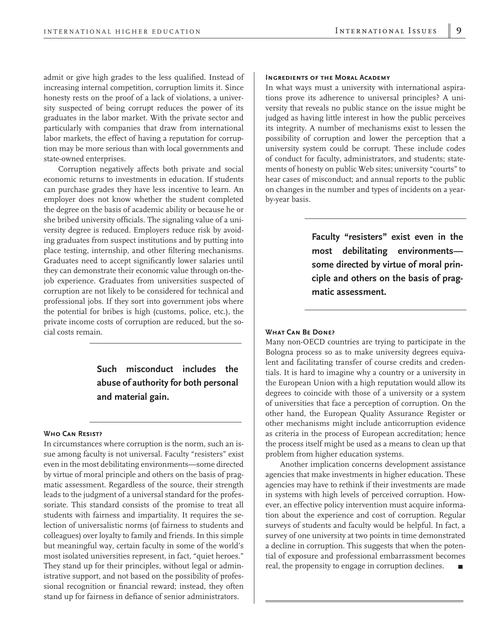admit or give high grades to the less qualified. Instead of increasing internal competition, corruption limits it. Since honesty rests on the proof of a lack of violations, a university suspected of being corrupt reduces the power of its graduates in the labor market. With the private sector and particularly with companies that draw from international labor markets, the effect of having a reputation for corruption may be more serious than with local governments and state-owned enterprises.

Corruption negatively affects both private and social economic returns to investments in education. If students can purchase grades they have less incentive to learn. An employer does not know whether the student completed the degree on the basis of academic ability or because he or she bribed university officials. The signaling value of a university degree is reduced. Employers reduce risk by avoiding graduates from suspect institutions and by putting into place testing, internship, and other filtering mechanisms. Graduates need to accept significantly lower salaries until they can demonstrate their economic value through on-thejob experience. Graduates from universities suspected of corruption are not likely to be considered for technical and professional jobs. If they sort into government jobs where the potential for bribes is high (customs, police, etc.), the private income costs of corruption are reduced, but the social costs remain.

> **Such misconduct includes the abuse of authority for both personal and material gain.**

#### **Who Can Resist?**

In circumstances where corruption is the norm, such an issue among faculty is not universal. Faculty "resisters" exist even in the most debilitating environments—some directed by virtue of moral principle and others on the basis of pragmatic assessment. Regardless of the source, their strength leads to the judgment of a universal standard for the professoriate. This standard consists of the promise to treat all students with fairness and impartiality. It requires the selection of universalistic norms (of fairness to students and colleagues) over loyalty to family and friends. In this simple but meaningful way, certain faculty in some of the world's most isolated universities represent, in fact, "quiet heroes." They stand up for their principles, without legal or administrative support, and not based on the possibility of professional recognition or financial reward; instead, they often stand up for fairness in defiance of senior administrators.

#### **INGREDIENTS OF THE MORAL ACADEMY**

In what ways must a university with international aspirations prove its adherence to universal principles? A university that reveals no public stance on the issue might be judged as having little interest in how the public perceives its integrity. A number of mechanisms exist to lessen the possibility of corruption and lower the perception that a university system could be corrupt. These include codes of conduct for faculty, administrators, and students; statements of honesty on public Web sites; university "courts" to hear cases of misconduct; and annual reports to the public on changes in the number and types of incidents on a yearby-year basis.

> **Faculty "resisters" exist even in the most debilitating environments some directed by virtue of moral principle and others on the basis of pragmatic assessment.**

#### **What Can Be Done?**

Many non-OECD countries are trying to participate in the Bologna process so as to make university degrees equivalent and facilitating transfer of course credits and credentials. It is hard to imagine why a country or a university in the European Union with a high reputation would allow its degrees to coincide with those of a university or a system of universities that face a perception of corruption. On the other hand, the European Quality Assurance Register or other mechanisms might include anticorruption evidence as criteria in the process of European accreditation; hence the process itself might be used as a means to clean up that problem from higher education systems.

Another implication concerns development assistance agencies that make investments in higher education. These agencies may have to rethink if their investments are made in systems with high levels of perceived corruption. However, an effective policy intervention must acquire information about the experience and cost of corruption. Regular surveys of students and faculty would be helpful. In fact, a survey of one university at two points in time demonstrated a decline in corruption. This suggests that when the potential of exposure and professional embarrassment becomes real, the propensity to engage in corruption declines.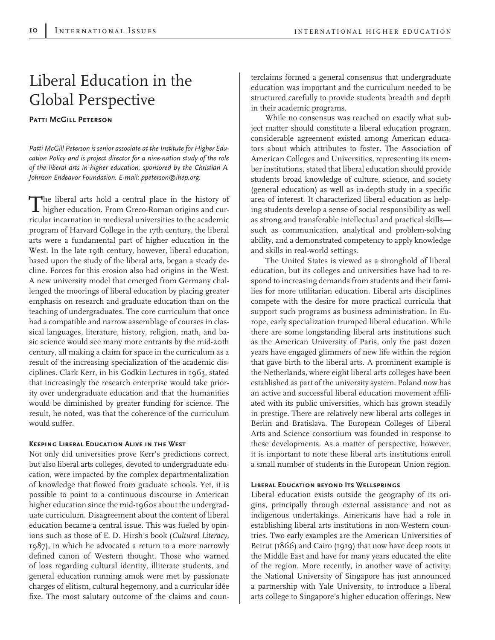## Liberal Education in the Global Perspective

### **Patti McGill Peterson**

*Patti McGill Peterson is senior associate at the Institute for Higher Education Policy and is project director for a nine-nation study of the role of the liberal arts in higher education, sponsored by the Christian A. Johnson Endeavor Foundation. E-mail: ppeterson@ihep.org.*

The liberal arts hold a central place in the history of higher education. From Greco-Roman origins and curricular incarnation in medieval universities to the academic program of Harvard College in the 17th century, the liberal arts were a fundamental part of higher education in the West. In the late 19th century, however, liberal education, based upon the study of the liberal arts, began a steady decline. Forces for this erosion also had origins in the West. A new university model that emerged from Germany challenged the moorings of liberal education by placing greater emphasis on research and graduate education than on the teaching of undergraduates. The core curriculum that once had a compatible and narrow assemblage of courses in classical languages, literature, history, religion, math, and basic science would see many more entrants by the mid-20th century, all making a claim for space in the curriculum as a result of the increasing specialization of the academic disciplines. Clark Kerr, in his Godkin Lectures in 1963, stated that increasingly the research enterprise would take priority over undergraduate education and that the humanities would be diminished by greater funding for science. The result, he noted, was that the coherence of the curriculum would suffer.

#### **Keeping Liberal Education Alive in the West**

Not only did universities prove Kerr's predictions correct, but also liberal arts colleges, devoted to undergraduate education, were impacted by the complex departmentalization of knowledge that flowed from graduate schools. Yet, it is possible to point to a continuous discourse in American higher education since the mid-1960s about the undergraduate curriculum. Disagreement about the content of liberal education became a central issue. This was fueled by opinions such as those of E. D. Hirsh's book (*Cultural Literacy,*  1987), in which he advocated a return to a more narrowly defined canon of Western thought. Those who warned of loss regarding cultural identity, illiterate students, and general education running amok were met by passionate charges of elitism, cultural hegemony, and a curricular idée fixe. The most salutary outcome of the claims and counterclaims formed a general consensus that undergraduate education was important and the curriculum needed to be structured carefully to provide students breadth and depth in their academic programs.

While no consensus was reached on exactly what subject matter should constitute a liberal education program, considerable agreement existed among American educators about which attributes to foster. The Association of American Colleges and Universities, representing its member institutions, stated that liberal education should provide students broad knowledge of culture, science, and society (general education) as well as in-depth study in a specific area of interest. It characterized liberal education as helping students develop a sense of social responsibility as well as strong and transferable intellectual and practical skills such as communication, analytical and problem-solving ability, and a demonstrated competency to apply knowledge and skills in real-world settings.

The United States is viewed as a stronghold of liberal education, but its colleges and universities have had to respond to increasing demands from students and their families for more utilitarian education. Liberal arts disciplines compete with the desire for more practical curricula that support such programs as business administration. In Europe, early specialization trumped liberal education. While there are some longstanding liberal arts institutions such as the American University of Paris, only the past dozen years have engaged glimmers of new life within the region that gave birth to the liberal arts. A prominent example is the Netherlands, where eight liberal arts colleges have been established as part of the university system. Poland now has an active and successful liberal education movement affiliated with its public universities, which has grown steadily in prestige. There are relatively new liberal arts colleges in Berlin and Bratislava. The European Colleges of Liberal Arts and Science consortium was founded in response to these developments. As a matter of perspective, however, it is important to note these liberal arts institutions enroll a small number of students in the European Union region.

#### **Liberal Education beyond Its Wellsprings**

Liberal education exists outside the geography of its origins, principally through external assistance and not as indigenous undertakings. Americans have had a role in establishing liberal arts institutions in non-Western countries. Two early examples are the American Universities of Beirut (1866) and Cairo (1919) that now have deep roots in the Middle East and have for many years educated the elite of the region. More recently, in another wave of activity, the National University of Singapore has just announced a partnership with Yale University, to introduce a liberal arts college to Singapore's higher education offerings. New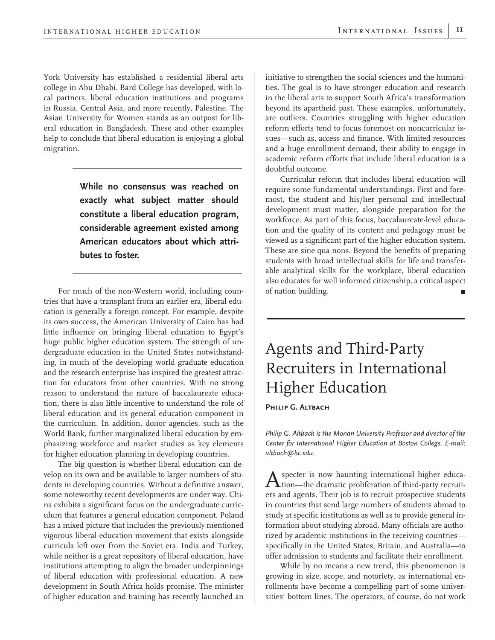York University has established a residential liberal arts college in Abu Dhabi. Bard College has developed, with local partners, liberal education institutions and programs in Russia, Central Asia, and more recently, Palestine. The Asian University for Women stands as an outpost for liberal education in Bangladesh. These and other examples help to conclude that liberal education is enjoying a global migration.

> **While no consensus was reached on exactly what subject matter should constitute a liberal education program, considerable agreement existed among American educators about which attributes to foster.**

For much of the non-Western world, including countries that have a transplant from an earlier era, liberal education is generally a foreign concept. For example, despite its own success, the American University of Cairo has had little influence on bringing liberal education to Egypt's huge public higher education system. The strength of undergraduate education in the United States notwithstanding, in much of the developing world graduate education and the research enterprise has inspired the greatest attraction for educators from other countries. With no strong reason to understand the nature of baccalaureate education, there is also little incentive to understand the role of liberal education and its general education component in the curriculum. In addition, donor agencies, such as the World Bank, further marginalized liberal education by emphasizing workforce and market studies as key elements for higher education planning in developing countries.

The big question is whether liberal education can develop on its own and be available to larger numbers of students in developing countries. Without a definitive answer, some noteworthy recent developments are under way. China exhibits a significant focus on the undergraduate curriculum that features a general education component. Poland has a mixed picture that includes the previously mentioned vigorous liberal education movement that exists alongside curricula left over from the Soviet era. India and Turkey, while neither is a great repository of liberal education, have institutions attempting to align the broader underpinnings of liberal education with professional education. A new development in South Africa holds promise. The minister of higher education and training has recently launched an initiative to strengthen the social sciences and the humanities. The goal is to have stronger education and research in the liberal arts to support South Africa's transformation beyond its apartheid past. These examples, unfortunately, are outliers. Countries struggling with higher education reform efforts tend to focus foremost on noncurricular issues—such as, access and finance. With limited resources and a huge enrollment demand, their ability to engage in academic reform efforts that include liberal education is a doubtful outcome.

Curricular reform that includes liberal education will require some fundamental understandings. First and foremost, the student and his/her personal and intellectual development must matter, alongside preparation for the workforce. As part of this focus, baccalaureate-level education and the quality of its content and pedagogy must be viewed as a significant part of the higher education system. These are sine qua nons. Beyond the benefits of preparing students with broad intellectual skills for life and transferable analytical skills for the workplace, liberal education also educates for well informed citizenship, a critical aspect of nation building.

## Agents and Third-Party Recruiters in International Higher Education

**Philip G. Altbach**

*Philip G. Altbach is the Monan University Professor and director of the Center for International Higher Education at Boston College. E-mail: altbach@bc.edu.*

 ${\bf A}$  specter is now haunting international higher educa-<br>tion—the dramatic proliferation of third-party recruiters and agents. Their job is to recruit prospective students in countries that send large numbers of students abroad to study at specific institutions as well as to provide general information about studying abroad. Many officials are authorized by academic institutions in the receiving countries specifically in the United States, Britain, and Australia—to offer admission to students and facilitate their enrollment.

While by no means a new trend, this phenomenon is growing in size, scope, and notoriety, as international enrollments have become a compelling part of some universities' bottom lines. The operators, of course, do not work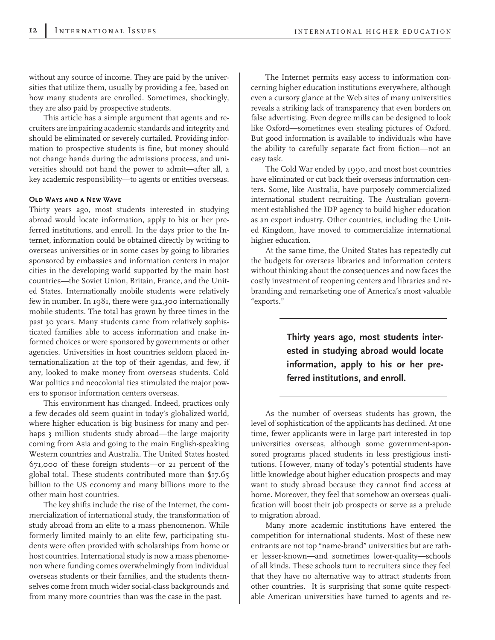without any source of income. They are paid by the universities that utilize them, usually by providing a fee, based on how many students are enrolled. Sometimes, shockingly, they are also paid by prospective students.

This article has a simple argument that agents and recruiters are impairing academic standards and integrity and should be eliminated or severely curtailed. Providing information to prospective students is fine, but money should not change hands during the admissions process, and universities should not hand the power to admit—after all, a key academic responsibility—to agents or entities overseas.

#### **Old Ways and a New Wave**

Thirty years ago, most students interested in studying abroad would locate information, apply to his or her preferred institutions, and enroll. In the days prior to the Internet, information could be obtained directly by writing to overseas universities or in some cases by going to libraries sponsored by embassies and information centers in major cities in the developing world supported by the main host countries—the Soviet Union, Britain, France, and the United States. Internationally mobile students were relatively few in number. In 1981, there were 912,300 internationally mobile students. The total has grown by three times in the past 30 years. Many students came from relatively sophisticated families able to access information and make informed choices or were sponsored by governments or other agencies. Universities in host countries seldom placed internationalization at the top of their agendas, and few, if any, looked to make money from overseas students. Cold War politics and neocolonial ties stimulated the major powers to sponsor information centers overseas.

This environment has changed. Indeed, practices only a few decades old seem quaint in today's globalized world, where higher education is big business for many and perhaps 3 million students study abroad—the large majority coming from Asia and going to the main English-speaking Western countries and Australia. The United States hosted 671,000 of these foreign students—or 21 percent of the global total. These students contributed more than \$17.65 billion to the US economy and many billions more to the other main host countries.

The key shifts include the rise of the Internet, the commercialization of international study, the transformation of study abroad from an elite to a mass phenomenon. While formerly limited mainly to an elite few, participating students were often provided with scholarships from home or host countries. International study is now a mass phenomenon where funding comes overwhelmingly from individual overseas students or their families, and the students themselves come from much wider social-class backgrounds and from many more countries than was the case in the past.

The Internet permits easy access to information concerning higher education institutions everywhere, although even a cursory glance at the Web sites of many universities reveals a striking lack of transparency that even borders on false advertising. Even degree mills can be designed to look like Oxford—sometimes even stealing pictures of Oxford. But good information is available to individuals who have the ability to carefully separate fact from fiction—not an easy task.

The Cold War ended by 1990, and most host countries have eliminated or cut back their overseas information centers. Some, like Australia, have purposely commercialized international student recruiting. The Australian government established the IDP agency to build higher education as an export industry. Other countries, including the United Kingdom, have moved to commercialize international higher education.

At the same time, the United States has repeatedly cut the budgets for overseas libraries and information centers without thinking about the consequences and now faces the costly investment of reopening centers and libraries and rebranding and remarketing one of America's most valuable "exports."

> **Thirty years ago, most students interested in studying abroad would locate information, apply to his or her preferred institutions, and enroll.**

As the number of overseas students has grown, the level of sophistication of the applicants has declined. At one time, fewer applicants were in large part interested in top universities overseas, although some government-sponsored programs placed students in less prestigious institutions. However, many of today's potential students have little knowledge about higher education prospects and may want to study abroad because they cannot find access at home. Moreover, they feel that somehow an overseas qualification will boost their job prospects or serve as a prelude to migration abroad.

Many more academic institutions have entered the competition for international students. Most of these new entrants are not top "name-brand" universities but are rather lesser-known—and sometimes lower-quality—schools of all kinds. These schools turn to recruiters since they feel that they have no alternative way to attract students from other countries. It is surprising that some quite respectable American universities have turned to agents and re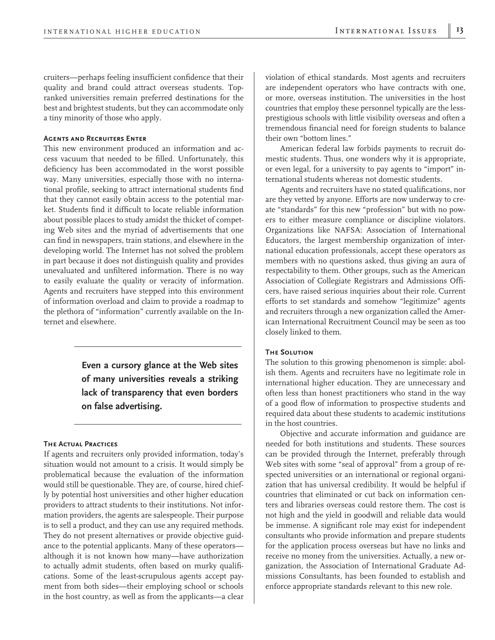cruiters—perhaps feeling insufficient confidence that their quality and brand could attract overseas students. Topranked universities remain preferred destinations for the best and brightest students, but they can accommodate only a tiny minority of those who apply.

#### **Agents and Recruiters Enter**

This new environment produced an information and access vacuum that needed to be filled. Unfortunately, this deficiency has been accommodated in the worst possible way. Many universities, especially those with no international profile, seeking to attract international students find that they cannot easily obtain access to the potential market. Students find it difficult to locate reliable information about possible places to study amidst the thicket of competing Web sites and the myriad of advertisements that one can find in newspapers, train stations, and elsewhere in the developing world. The Internet has not solved the problem in part because it does not distinguish quality and provides unevaluated and unfiltered information. There is no way to easily evaluate the quality or veracity of information. Agents and recruiters have stepped into this environment of information overload and claim to provide a roadmap to the plethora of "information" currently available on the Internet and elsewhere.

> **Even a cursory glance at the Web sites of many universities reveals a striking lack of transparency that even borders on false advertising.**

### **The Actual Practices**

If agents and recruiters only provided information, today's situation would not amount to a crisis. It would simply be problematical because the evaluation of the information would still be questionable. They are, of course, hired chiefly by potential host universities and other higher education providers to attract students to their institutions. Not information providers, the agents are salespeople. Their purpose is to sell a product, and they can use any required methods. They do not present alternatives or provide objective guidance to the potential applicants. Many of these operators although it is not known how many—have authorization to actually admit students, often based on murky qualifications. Some of the least-scrupulous agents accept payment from both sides—their employing school or schools in the host country, as well as from the applicants—a clear violation of ethical standards. Most agents and recruiters are independent operators who have contracts with one, or more, overseas institution. The universities in the host countries that employ these personnel typically are the lessprestigious schools with little visibility overseas and often a tremendous financial need for foreign students to balance their own "bottom lines."

American federal law forbids payments to recruit domestic students. Thus, one wonders why it is appropriate, or even legal, for a university to pay agents to "import" international students whereas not domestic students.

Agents and recruiters have no stated qualifications, nor are they vetted by anyone. Efforts are now underway to create "standards" for this new "profession" but with no powers to either measure compliance or discipline violators. Organizations like NAFSA: Association of International Educators, the largest membership organization of international education professionals, accept these operators as members with no questions asked, thus giving an aura of respectability to them. Other groups, such as the American Association of Collegiate Registrars and Admissions Officers, have raised serious inquiries about their role. Current efforts to set standards and somehow "legitimize" agents and recruiters through a new organization called the American International Recruitment Council may be seen as too closely linked to them.

#### **The Solution**

The solution to this growing phenomenon is simple: abolish them. Agents and recruiters have no legitimate role in international higher education. They are unnecessary and often less than honest practitioners who stand in the way of a good flow of information to prospective students and required data about these students to academic institutions in the host countries.

Objective and accurate information and guidance are needed for both institutions and students. These sources can be provided through the Internet, preferably through Web sites with some "seal of approval" from a group of respected universities or an international or regional organization that has universal credibility. It would be helpful if countries that eliminated or cut back on information centers and libraries overseas could restore them. The cost is not high and the yield in goodwill and reliable data would be immense. A significant role may exist for independent consultants who provide information and prepare students for the application process overseas but have no links and receive no money from the universities. Actually, a new organization, the Association of International Graduate Admissions Consultants, has been founded to establish and enforce appropriate standards relevant to this new role.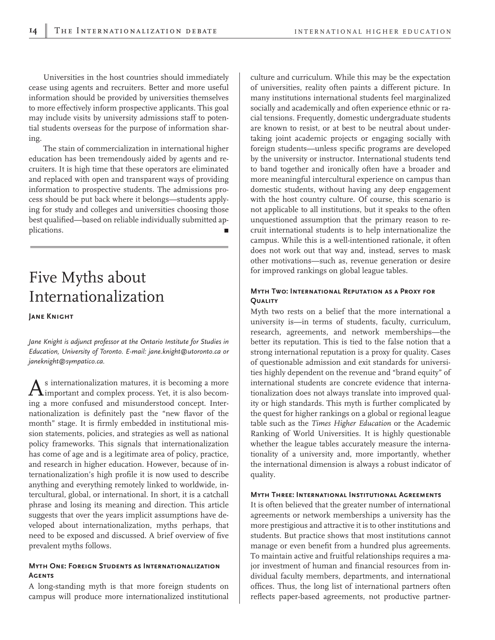Universities in the host countries should immediately cease using agents and recruiters. Better and more useful information should be provided by universities themselves to more effectively inform prospective applicants. This goal may include visits by university admissions staff to potential students overseas for the purpose of information sharing.

The stain of commercialization in international higher education has been tremendously aided by agents and recruiters. It is high time that these operators are eliminated and replaced with open and transparent ways of providing information to prospective students. The admissions process should be put back where it belongs—students applying for study and colleges and universities choosing those best qualified—based on reliable individually submitted applications.

## Five Myths about Internationalization

**JANE KNIGHT** 

Jane Knight is adjunct professor at the Ontario Institute for Studies in *Education, University of Toronto. E-mail: jane.knight@utoronto.ca or janeknight@sympatico.ca.*

 $\mathbf{A}$ s internationalization matures, it is becoming a more important and complex process. Yet, it is also becoming a more confused and misunderstood concept. Internationalization is definitely past the "new flavor of the month" stage. It is firmly embedded in institutional mission statements, policies, and strategies as well as national policy frameworks. This signals that internationalization has come of age and is a legitimate area of policy, practice, and research in higher education. However, because of internationalization's high profile it is now used to describe anything and everything remotely linked to worldwide, intercultural, global, or international. In short, it is a catchall phrase and losing its meaning and direction. This article suggests that over the years implicit assumptions have developed about internationalization, myths perhaps, that need to be exposed and discussed. A brief overview of five prevalent myths follows.

#### **Myth One: Foreign Students as Internationalization Agents**

A long-standing myth is that more foreign students on campus will produce more internationalized institutional

culture and curriculum. While this may be the expectation of universities, reality often paints a different picture. In many institutions international students feel marginalized socially and academically and often experience ethnic or racial tensions. Frequently, domestic undergraduate students are known to resist, or at best to be neutral about undertaking joint academic projects or engaging socially with foreign students—unless specific programs are developed by the university or instructor. International students tend to band together and ironically often have a broader and more meaningful intercultural experience on campus than domestic students, without having any deep engagement with the host country culture. Of course, this scenario is not applicable to all institutions, but it speaks to the often unquestioned assumption that the primary reason to recruit international students is to help internationalize the campus. While this is a well-intentioned rationale, it often does not work out that way and, instead, serves to mask other motivations—such as, revenue generation or desire for improved rankings on global league tables.

### **Myth Two: International Reputation as a Proxy for Quality**

Myth two rests on a belief that the more international a university is—in terms of students, faculty, curriculum, research, agreements, and network memberships—the better its reputation. This is tied to the false notion that a strong international reputation is a proxy for quality. Cases of questionable admission and exit standards for universities highly dependent on the revenue and "brand equity" of international students are concrete evidence that internationalization does not always translate into improved quality or high standards. This myth is further complicated by the quest for higher rankings on a global or regional league table such as the *Times Higher Education* or the Academic Ranking of World Universities. It is highly questionable whether the league tables accurately measure the internationality of a university and, more importantly, whether the international dimension is always a robust indicator of quality.

#### **Myth Three: International Institutional Agreements**

It is often believed that the greater number of international agreements or network memberships a university has the more prestigious and attractive it is to other institutions and students. But practice shows that most institutions cannot manage or even benefit from a hundred plus agreements. To maintain active and fruitful relationships requires a major investment of human and financial resources from individual faculty members, departments, and international offices. Thus, the long list of international partners often reflects paper-based agreements, not productive partner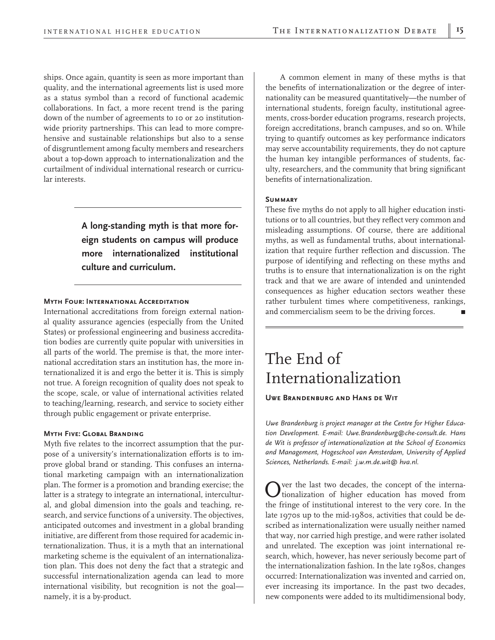ships. Once again, quantity is seen as more important than quality, and the international agreements list is used more as a status symbol than a record of functional academic collaborations. In fact, a more recent trend is the paring down of the number of agreements to 10 or 20 institutionwide priority partnerships. This can lead to more comprehensive and sustainable relationships but also to a sense of disgruntlement among faculty members and researchers about a top-down approach to internationalization and the curtailment of individual international research or curricular interests.

> **A long-standing myth is that more foreign students on campus will produce more internationalized institutional culture and curriculum.**

#### **Myth Four: International Accreditation**

International accreditations from foreign external national quality assurance agencies (especially from the United States) or professional engineering and business accreditation bodies are currently quite popular with universities in all parts of the world. The premise is that, the more international accreditation stars an institution has, the more internationalized it is and ergo the better it is. This is simply not true. A foreign recognition of quality does not speak to the scope, scale, or value of international activities related to teaching/learning, research, and service to society either through public engagement or private enterprise.

#### **Myth Five: Global Branding**

Myth five relates to the incorrect assumption that the purpose of a university's internationalization efforts is to improve global brand or standing. This confuses an international marketing campaign with an internationalization plan. The former is a promotion and branding exercise; the latter is a strategy to integrate an international, intercultural, and global dimension into the goals and teaching, research, and service functions of a university. The objectives, anticipated outcomes and investment in a global branding initiative, are different from those required for academic internationalization. Thus, it is a myth that an international marketing scheme is the equivalent of an internationalization plan. This does not deny the fact that a strategic and successful internationalization agenda can lead to more international visibility, but recognition is not the goal namely, it is a by-product.

A common element in many of these myths is that the benefits of internationalization or the degree of internationality can be measured quantitatively—the number of international students, foreign faculty, institutional agreements, cross-border education programs, research projects, foreign accreditations, branch campuses, and so on. While trying to quantify outcomes as key performance indicators may serve accountability requirements, they do not capture the human key intangible performances of students, faculty, researchers, and the community that bring significant benefits of internationalization.

#### **Summary**

These five myths do not apply to all higher education institutions or to all countries, but they reflect very common and misleading assumptions. Of course, there are additional myths, as well as fundamental truths, about internationalization that require further reflection and discussion. The purpose of identifying and reflecting on these myths and truths is to ensure that internationalization is on the right track and that we are aware of intended and unintended consequences as higher education sectors weather these rather turbulent times where competitiveness, rankings, and commercialism seem to be the driving forces.

# The End of Internationalization

#### **Uwe Brandenburg and Hans de Wit**

*Uwe Brandenburg is project manager at the Centre for Higher Education Development. E-mail: Uwe.Brandenburg@che-consult.de. Hans de Wit is professor of internationalization at the School of Economics and Management, Hogeschool van Amsterdam, University of Applied Sciences, Netherlands. E-mail: j.w.m.de.wit@ hva.nl.*

Over the last two decades, the concept of the interna-tionalization of higher education has moved from the fringe of institutional interest to the very core. In the late 1970s up to the mid-1980s, activities that could be described as internationalization were usually neither named that way, nor carried high prestige, and were rather isolated and unrelated. The exception was joint international research, which, however, has never seriously become part of the internationalization fashion. In the late 1980s, changes occurred: Internationalization was invented and carried on, ever increasing its importance. In the past two decades, new components were added to its multidimensional body,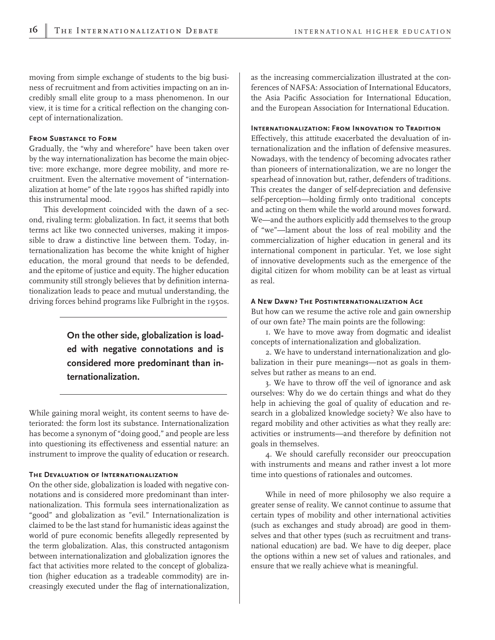moving from simple exchange of students to the big business of recruitment and from activities impacting on an incredibly small elite group to a mass phenomenon. In our view, it is time for a critical reflection on the changing concept of internationalization.

#### **From Substance to Form**

Gradually, the "why and wherefore" have been taken over by the way internationalization has become the main objective: more exchange, more degree mobility, and more recruitment. Even the alternative movement of "internationalization at home" of the late 1990s has shifted rapidly into this instrumental mood.

This development coincided with the dawn of a second, rivaling term: globalization. In fact, it seems that both terms act like two connected universes, making it impossible to draw a distinctive line between them. Today, internationalization has become the white knight of higher education, the moral ground that needs to be defended, and the epitome of justice and equity. The higher education community still strongly believes that by definition internationalization leads to peace and mutual understanding, the driving forces behind programs like Fulbright in the 1950s.

> **On the other side, globalization is loaded with negative connotations and is considered more predominant than internationalization.**

While gaining moral weight, its content seems to have deteriorated: the form lost its substance. Internationalization has become a synonym of "doing good," and people are less into questioning its effectiveness and essential nature: an instrument to improve the quality of education or research.

#### **The Devaluation of Internationalization**

On the other side, globalization is loaded with negative connotations and is considered more predominant than internationalization. This formula sees internationalization as "good" and globalization as "evil." Internationalization is claimed to be the last stand for humanistic ideas against the world of pure economic benefits allegedly represented by the term globalization. Alas, this constructed antagonism between internationalization and globalization ignores the fact that activities more related to the concept of globalization (higher education as a tradeable commodity) are increasingly executed under the flag of internationalization,

as the increasing commercialization illustrated at the conferences of NAFSA: Association of International Educators, the Asia Pacific Association for International Education, and the European Association for International Education.

#### **INTERNATIONALIZATION: FROM INNOVATION TO TRADITION**

Effectively, this attitude exacerbated the devaluation of internationalization and the inflation of defensive measures. Nowadays, with the tendency of becoming advocates rather than pioneers of internationalization, we are no longer the spearhead of innovation but, rather, defenders of traditions. This creates the danger of self-depreciation and defensive self-perception—holding firmly onto traditional concepts and acting on them while the world around moves forward. We—and the authors explicitly add themselves to the group of "we"—lament about the loss of real mobility and the commercialization of higher education in general and its international component in particular. Yet, we lose sight of innovative developments such as the emergence of the digital citizen for whom mobility can be at least as virtual as real.

#### **A New Dawn? The Postinternationalization Age**

But how can we resume the active role and gain ownership of our own fate? The main points are the following:

1. We have to move away from dogmatic and idealist concepts of internationalization and globalization.

2. We have to understand internationalization and globalization in their pure meanings—not as goals in themselves but rather as means to an end.

3. We have to throw off the veil of ignorance and ask ourselves: Why do we do certain things and what do they help in achieving the goal of quality of education and research in a globalized knowledge society? We also have to regard mobility and other activities as what they really are: activities or instruments—and therefore by definition not goals in themselves.

4. We should carefully reconsider our preoccupation with instruments and means and rather invest a lot more time into questions of rationales and outcomes.

While in need of more philosophy we also require a greater sense of reality. We cannot continue to assume that certain types of mobility and other international activities (such as exchanges and study abroad) are good in themselves and that other types (such as recruitment and transnational education) are bad. We have to dig deeper, place the options within a new set of values and rationales, and ensure that we really achieve what is meaningful.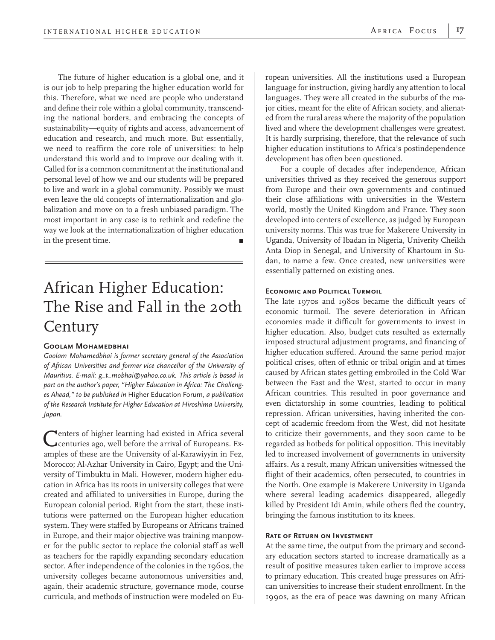The future of higher education is a global one, and it is our job to help preparing the higher education world for this. Therefore, what we need are people who understand and define their role within a global community, transcending the national borders, and embracing the concepts of sustainability—equity of rights and access, advancement of education and research, and much more. But essentially, we need to reaffirm the core role of universities: to help understand this world and to improve our dealing with it. Called for is a common commitment at the institutional and personal level of how we and our students will be prepared to live and work in a global community. Possibly we must even leave the old concepts of internationalization and globalization and move on to a fresh unbiased paradigm. The most important in any case is to rethink and redefine the way we look at the internationalization of higher education in the present time.

## African Higher Education: The Rise and Fall in the 20th Century

### **Goolam Mohamedbhai**

*Goolam Mohamedbhai is former secretary general of the Association of African Universities and former vice chancellor of the University of Mauritius. E-mail: g\_t\_mobhai@yahoo.co.uk. This article is based in part on the author's paper, "Higher Education in Africa: The Challenges Ahead," to be published in* Higher Education Forum, *a publication of the Research Institute for Higher Education at Hiroshima University, Japan.* 

Centers of higher learning had existed in Africa several centuries ago, well before the arrival of Europeans. Examples of these are the University of al-Karawiyyin in Fez, Morocco; Al-Azhar University in Cairo, Egypt; and the University of Timbuktu in Mali. However, modern higher education in Africa has its roots in university colleges that were created and affiliated to universities in Europe, during the European colonial period. Right from the start, these institutions were patterned on the European higher education system. They were staffed by Europeans or Africans trained in Europe, and their major objective was training manpower for the public sector to replace the colonial staff as well as teachers for the rapidly expanding secondary education sector. After independence of the colonies in the 1960s, the university colleges became autonomous universities and, again, their academic structure, governance mode, course curricula, and methods of instruction were modeled on European universities. All the institutions used a European language for instruction, giving hardly any attention to local languages. They were all created in the suburbs of the major cities, meant for the elite of African society, and alienated from the rural areas where the majority of the population lived and where the development challenges were greatest. It is hardly surprising, therefore, that the relevance of such higher education institutions to Africa's postindependence development has often been questioned.

For a couple of decades after independence, African universities thrived as they received the generous support from Europe and their own governments and continued their close affiliations with universities in the Western world, mostly the United Kingdom and France. They soon developed into centers of excellence, as judged by European university norms. This was true for Makerere University in Uganda, University of Ibadan in Nigeria, Univerity Cheikh Anta Diop in Senegal, and University of Khartoum in Sudan, to name a few. Once created, new universities were essentially patterned on existing ones.

#### **Economic and Political Turmoil**

The late 1970s and 1980s became the difficult years of economic turmoil. The severe deterioration in African economies made it difficult for governments to invest in higher education. Also, budget cuts resulted as externally imposed structural adjustment programs, and financing of higher education suffered. Around the same period major political crises, often of ethnic or tribal origin and at times caused by African states getting embroiled in the Cold War between the East and the West, started to occur in many African countries. This resulted in poor governance and even dictatorship in some countries, leading to political repression. African universities, having inherited the concept of academic freedom from the West, did not hesitate to criticize their governments, and they soon came to be regarded as hotbeds for political opposition. This inevitably led to increased involvement of governments in university affairs. As a result, many African universities witnessed the flight of their academics, often persecuted, to countries in the North. One example is Makerere University in Uganda where several leading academics disappeared, allegedly killed by President Idi Amin, while others fled the country, bringing the famous institution to its knees.

#### **Rate of Return on Investment**

At the same time, the output from the primary and secondary education sectors started to increase dramatically as a result of positive measures taken earlier to improve access to primary education. This created huge pressures on African universities to increase their student enrollment. In the 1990s, as the era of peace was dawning on many African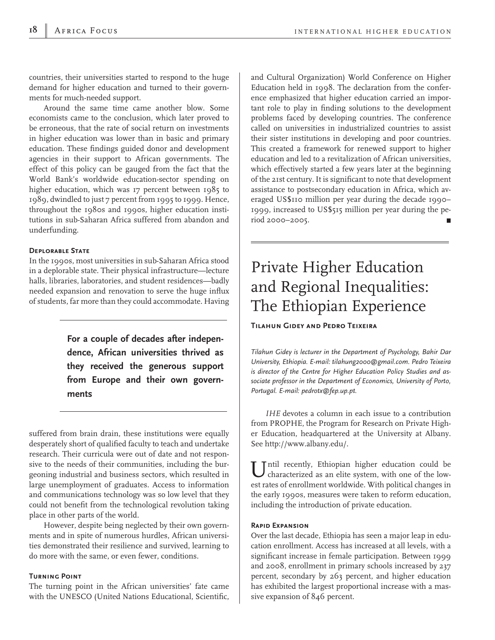countries, their universities started to respond to the huge demand for higher education and turned to their governments for much-needed support.

Around the same time came another blow. Some economists came to the conclusion, which later proved to be erroneous, that the rate of social return on investments in higher education was lower than in basic and primary education. These findings guided donor and development agencies in their support to African governments. The effect of this policy can be gauged from the fact that the World Bank's worldwide education-sector spending on higher education, which was 17 percent between 1985 to 1989, dwindled to just 7 percent from 1995 to 1999. Hence, throughout the 1980s and 1990s, higher education institutions in sub-Saharan Africa suffered from abandon and underfunding.

#### **Deplorable State**

In the 1990s, most universities in sub-Saharan Africa stood in a deplorable state. Their physical infrastructure—lecture halls, libraries, laboratories, and student residences—badly needed expansion and renovation to serve the huge influx of students, far more than they could accommodate. Having

> **For a couple of decades after independence, African universities thrived as they received the generous support from Europe and their own governments**

suffered from brain drain, these institutions were equally desperately short of qualified faculty to teach and undertake research. Their curricula were out of date and not responsive to the needs of their communities, including the burgeoning industrial and business sectors, which resulted in large unemployment of graduates. Access to information and communications technology was so low level that they could not benefit from the technological revolution taking place in other parts of the world.

However, despite being neglected by their own governments and in spite of numerous hurdles, African universities demonstrated their resilience and survived, learning to do more with the same, or even fewer, conditions.

#### **Turning Point**

The turning point in the African universities' fate came with the UNESCO (United Nations Educational, Scientific, and Cultural Organization) World Conference on Higher Education held in 1998. The declaration from the conference emphasized that higher education carried an important role to play in finding solutions to the development problems faced by developing countries. The conference called on universities in industrialized countries to assist their sister institutions in developing and poor countries. This created a framework for renewed support to higher education and led to a revitalization of African universities, which effectively started a few years later at the beginning of the 21st century. It is significant to note that development assistance to postsecondary education in Africa, which averaged US\$110 million per year during the decade 1990– 1999, increased to US\$515 million per year during the period 2000–2005.

## Private Higher Education and Regional Inequalities: The Ethiopian Experience

**Tilahun Gidey and Pedro Teixeira**

*Tilahun Gidey is lecturer in the Department of Psychology, Bahir Dar University, Ethiopia. E-mail: tilahung2000@gmail.com. Pedro Teixeira is director of the Centre for Higher Education Policy Studies and associate professor in the Department of Economics, University of Porto, Portugal. E-mail: pedrotx@fep.up.pt.*

*IHE* devotes a column in each issue to a contribution from PROPHE, the Program for Research on Private Higher Education, headquartered at the University at Albany. See http://www.albany.edu/.

Tntil recently, Ethiopian higher education could be characterized as an elite system, with one of the lowest rates of enrollment worldwide. With political changes in the early 1990s, measures were taken to reform education, including the introduction of private education.

#### **Rapid Expansion**

Over the last decade, Ethiopia has seen a major leap in education enrollment. Access has increased at all levels, with a significant increase in female participation. Between 1999 and 2008, enrollment in primary schools increased by 237 percent, secondary by 263 percent, and higher education has exhibited the largest proportional increase with a massive expansion of 846 percent.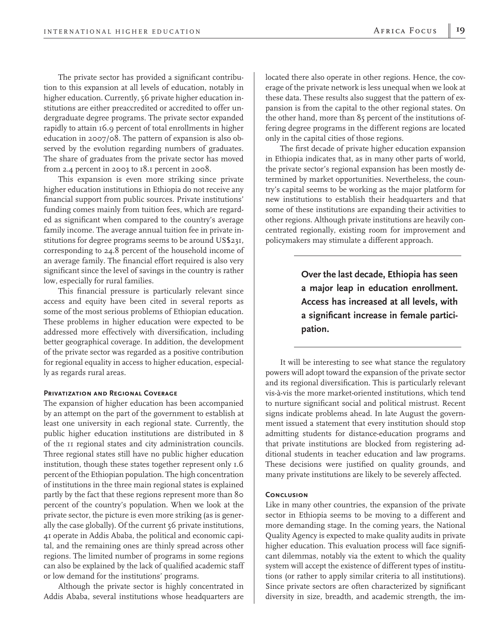The private sector has provided a significant contribution to this expansion at all levels of education, notably in higher education. Currently, 56 private higher education institutions are either preaccredited or accredited to offer undergraduate degree programs. The private sector expanded rapidly to attain 16.9 percent of total enrollments in higher education in 2007/08. The pattern of expansion is also observed by the evolution regarding numbers of graduates. The share of graduates from the private sector has moved from 2.4 percent in 2003 to 18.1 percent in 2008.

This expansion is even more striking since private higher education institutions in Ethiopia do not receive any financial support from public sources. Private institutions' funding comes mainly from tuition fees, which are regarded as significant when compared to the country's average family income. The average annual tuition fee in private institutions for degree programs seems to be around US\$231, corresponding to 24.8 percent of the household income of an average family. The financial effort required is also very significant since the level of savings in the country is rather low, especially for rural families.

This financial pressure is particularly relevant since access and equity have been cited in several reports as some of the most serious problems of Ethiopian education. These problems in higher education were expected to be addressed more effectively with diversification, including better geographical coverage. In addition, the development of the private sector was regarded as a positive contribution for regional equality in access to higher education, especially as regards rural areas.

#### **Privatization and Regional Coverage**

The expansion of higher education has been accompanied by an attempt on the part of the government to establish at least one university in each regional state. Currently, the public higher education institutions are distributed in 8 of the 11 regional states and city administration councils. Three regional states still have no public higher education institution, though these states together represent only 1.6 percent of the Ethiopian population. The high concentration of institutions in the three main regional states is explained partly by the fact that these regions represent more than 80 percent of the country's population. When we look at the private sector, the picture is even more striking (as is generally the case globally). Of the current 56 private institutions, 41 operate in Addis Ababa, the political and economic capital, and the remaining ones are thinly spread across other regions. The limited number of programs in some regions can also be explained by the lack of qualified academic staff or low demand for the institutions' programs.

Although the private sector is highly concentrated in Addis Ababa, several institutions whose headquarters are located there also operate in other regions. Hence, the coverage of the private network is less unequal when we look at these data. These results also suggest that the pattern of expansion is from the capital to the other regional states. On the other hand, more than 85 percent of the institutions offering degree programs in the different regions are located only in the capital cities of those regions.

The first decade of private higher education expansion in Ethiopia indicates that, as in many other parts of world, the private sector's regional expansion has been mostly determined by market opportunities. Nevertheless, the country's capital seems to be working as the major platform for new institutions to establish their headquarters and that some of these institutions are expanding their activities to other regions. Although private institutions are heavily concentrated regionally, existing room for improvement and policymakers may stimulate a different approach.

> **Over the last decade, Ethiopia has seen a major leap in education enrollment. Access has increased at all levels, with a significant increase in female participation.**

It will be interesting to see what stance the regulatory powers will adopt toward the expansion of the private sector and its regional diversification. This is particularly relevant vis-à-vis the more market-oriented institutions, which tend to nurture significant social and political mistrust. Recent signs indicate problems ahead. In late August the government issued a statement that every institution should stop admitting students for distance-education programs and that private institutions are blocked from registering additional students in teacher education and law programs. These decisions were justified on quality grounds, and many private institutions are likely to be severely affected.

#### **Conclusion**

Like in many other countries, the expansion of the private sector in Ethiopia seems to be moving to a different and more demanding stage. In the coming years, the National Quality Agency is expected to make quality audits in private higher education. This evaluation process will face significant dilemmas, notably via the extent to which the quality system will accept the existence of different types of institutions (or rather to apply similar criteria to all institutions). Since private sectors are often characterized by significant diversity in size, breadth, and academic strength, the im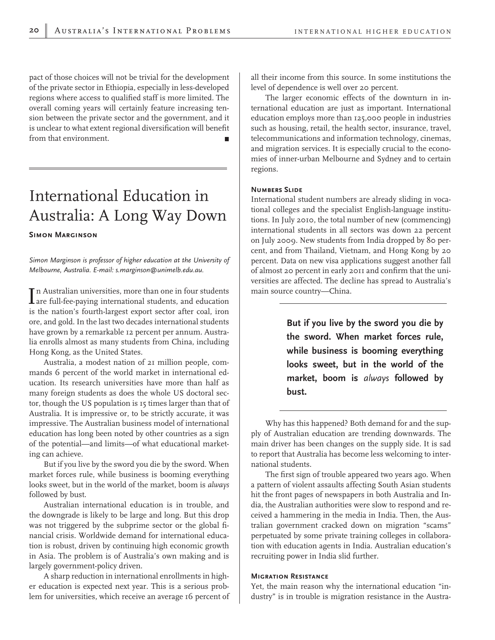pact of those choices will not be trivial for the development of the private sector in Ethiopia, especially in less-developed regions where access to qualified staff is more limited. The overall coming years will certainly feature increasing tension between the private sector and the government, and it is unclear to what extent regional diversification will benefit from that environment.

## International Education in Australia: A Long Way Down

#### **Simon Marginson**

*Simon Marginson is professor of higher education at the University of Melbourne, Australia. E-mail: s.marginson@unimelb.edu.au.*

In Australian universities, more than one in four students<br>are full-fee-paying international students, and education n Australian universities, more than one in four students is the nation's fourth-largest export sector after coal, iron ore, and gold. In the last two decades international students have grown by a remarkable 12 percent per annum. Australia enrolls almost as many students from China, including Hong Kong, as the United States.

Australia, a modest nation of 21 million people, commands 6 percent of the world market in international education. Its research universities have more than half as many foreign students as does the whole US doctoral sector, though the US population is 15 times larger than that of Australia. It is impressive or, to be strictly accurate, it was impressive. The Australian business model of international education has long been noted by other countries as a sign of the potential—and limits—of what educational marketing can achieve.

But if you live by the sword you die by the sword. When market forces rule, while business is booming everything looks sweet, but in the world of the market, boom is *always*  followed by bust.

Australian international education is in trouble, and the downgrade is likely to be large and long. But this drop was not triggered by the subprime sector or the global financial crisis. Worldwide demand for international education is robust, driven by continuing high economic growth in Asia. The problem is of Australia's own making and is largely government-policy driven.

A sharp reduction in international enrollments in higher education is expected next year. This is a serious problem for universities, which receive an average 16 percent of all their income from this source. In some institutions the level of dependence is well over 20 percent.

The larger economic effects of the downturn in international education are just as important. International education employs more than 125,000 people in industries such as housing, retail, the health sector, insurance, travel, telecommunications and information technology, cinemas, and migration services. It is especially crucial to the economies of inner-urban Melbourne and Sydney and to certain regions.

#### **Numbers Slide**

International student numbers are already sliding in vocational colleges and the specialist English-language institutions. In July 2010, the total number of new (commencing) international students in all sectors was down 22 percent on July 2009. New students from India dropped by 80 percent, and from Thailand, Vietnam, and Hong Kong by 20 percent. Data on new visa applications suggest another fall of almost 20 percent in early 2011 and confirm that the universities are affected. The decline has spread to Australia's main source country—China.

> **But if you live by the sword you die by the sword. When market forces rule, while business is booming everything looks sweet, but in the world of the market, boom is** *always* **followed by bust.**

Why has this happened? Both demand for and the supply of Australian education are trending downwards. The main driver has been changes on the supply side. It is sad to report that Australia has become less welcoming to international students.

The first sign of trouble appeared two years ago. When a pattern of violent assaults affecting South Asian students hit the front pages of newspapers in both Australia and India, the Australian authorities were slow to respond and received a hammering in the media in India. Then, the Australian government cracked down on migration "scams" perpetuated by some private training colleges in collaboration with education agents in India. Australian education's recruiting power in India slid further.

#### **Migration Resistance**

Yet, the main reason why the international education "industry" is in trouble is migration resistance in the Austra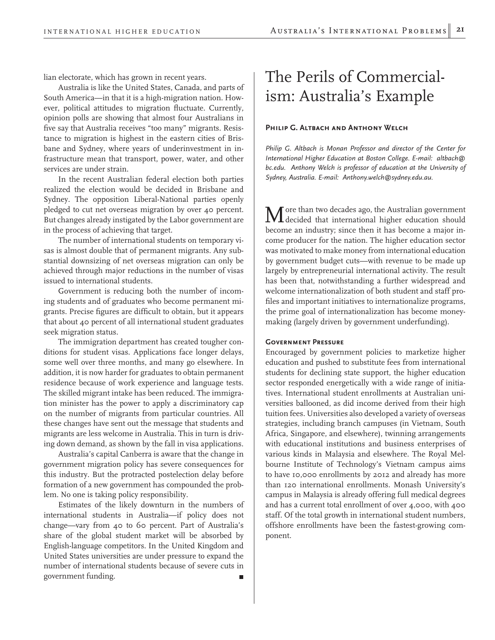lian electorate, which has grown in recent years.

Australia is like the United States, Canada, and parts of South America—in that it is a high-migration nation. However, political attitudes to migration fluctuate. Currently, opinion polls are showing that almost four Australians in five say that Australia receives "too many" migrants. Resistance to migration is highest in the eastern cities of Brisbane and Sydney, where years of underinvestment in infrastructure mean that transport, power, water, and other services are under strain.

In the recent Australian federal election both parties realized the election would be decided in Brisbane and Sydney. The opposition Liberal-National parties openly pledged to cut net overseas migration by over 40 percent. But changes already instigated by the Labor government are in the process of achieving that target.

The number of international students on temporary visas is almost double that of permanent migrants. Any substantial downsizing of net overseas migration can only be achieved through major reductions in the number of visas issued to international students.

Government is reducing both the number of incoming students and of graduates who become permanent migrants. Precise figures are difficult to obtain, but it appears that about 40 percent of all international student graduates seek migration status.

The immigration department has created tougher conditions for student visas. Applications face longer delays, some well over three months, and many go elsewhere. In addition, it is now harder for graduates to obtain permanent residence because of work experience and language tests. The skilled migrant intake has been reduced. The immigration minister has the power to apply a discriminatory cap on the number of migrants from particular countries. All these changes have sent out the message that students and migrants are less welcome in Australia. This in turn is driving down demand, as shown by the fall in visa applications.

Australia's capital Canberra is aware that the change in government migration policy has severe consequences for this industry. But the protracted postelection delay before formation of a new government has compounded the problem. No one is taking policy responsibility.

Estimates of the likely downturn in the numbers of international students in Australia—if policy does not change—vary from 40 to 60 percent. Part of Australia's share of the global student market will be absorbed by English-language competitors. In the United Kingdom and United States universities are under pressure to expand the number of international students because of severe cuts in government funding. Ē

## The Perils of Commercialism: Australia's Example

#### **Philip G. Altbach and Anthony Welch**

*Philip G. Altbach is Monan Professor and director of the Center for International Higher Education at Boston College. E-mail: altbach@ bc.edu. Anthony Welch is professor of education at the University of Sydney, Australia. E-mail: Anthony.welch@sydney.edu.au.*

More than two decades ago, the Australian government decided that international higher education should become an industry; since then it has become a major income producer for the nation. The higher education sector was motivated to make money from international education by government budget cuts—with revenue to be made up largely by entrepreneurial international activity. The result has been that, notwithstanding a further widespread and welcome internationalization of both student and staff profiles and important initiatives to internationalize programs, the prime goal of internationalization has become moneymaking (largely driven by government underfunding).

#### **Government Pressure**

Encouraged by government policies to marketize higher education and pushed to substitute fees from international students for declining state support, the higher education sector responded energetically with a wide range of initiatives. International student enrollments at Australian universities ballooned, as did income derived from their high tuition fees. Universities also developed a variety of overseas strategies, including branch campuses (in Vietnam, South Africa, Singapore, and elsewhere), twinning arrangements with educational institutions and business enterprises of various kinds in Malaysia and elsewhere. The Royal Melbourne Institute of Technology's Vietnam campus aims to have 10,000 enrollments by 2012 and already has more than 120 international enrollments. Monash University's campus in Malaysia is already offering full medical degrees and has a current total enrollment of over 4,000, with 400 staff. Of the total growth in international student numbers, offshore enrollments have been the fastest-growing component.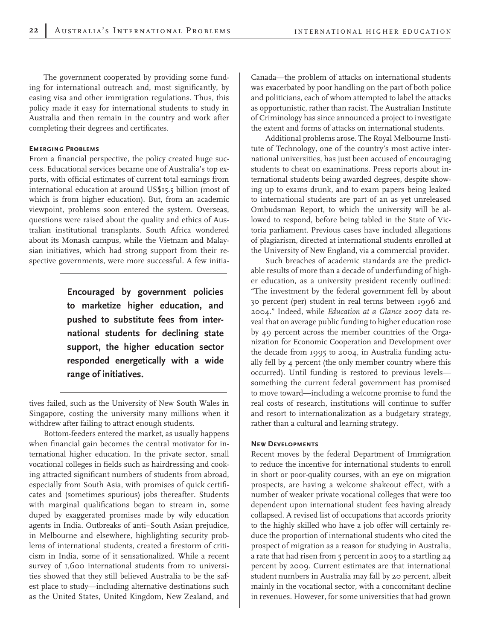The government cooperated by providing some funding for international outreach and, most significantly, by easing visa and other immigration regulations. Thus, this policy made it easy for international students to study in Australia and then remain in the country and work after completing their degrees and certificates.

#### **Emerging Problems**

From a financial perspective, the policy created huge success. Educational services became one of Australia's top exports, with official estimates of current total earnings from international education at around US\$15.5 billion (most of which is from higher education). But, from an academic viewpoint, problems soon entered the system. Overseas, questions were raised about the quality and ethics of Australian institutional transplants. South Africa wondered about its Monash campus, while the Vietnam and Malaysian initiatives, which had strong support from their respective governments, were more successful. A few initia-

> **Encouraged by government policies to marketize higher education, and pushed to substitute fees from international students for declining state support, the higher education sector responded energetically with a wide range of initiatives.**

tives failed, such as the University of New South Wales in Singapore, costing the university many millions when it withdrew after failing to attract enough students.

Bottom-feeders entered the market, as usually happens when financial gain becomes the central motivator for international higher education. In the private sector, small vocational colleges in fields such as hairdressing and cooking attracted significant numbers of students from abroad, especially from South Asia, with promises of quick certificates and (sometimes spurious) jobs thereafter. Students with marginal qualifications began to stream in, some duped by exaggerated promises made by wily education agents in India. Outbreaks of anti–South Asian prejudice, in Melbourne and elsewhere, highlighting security problems of international students, created a firestorm of criticism in India, some of it sensationalized. While a recent survey of 1,600 international students from 10 universities showed that they still believed Australia to be the safest place to study—including alternative destinations such as the United States, United Kingdom, New Zealand, and

Canada—the problem of attacks on international students was exacerbated by poor handling on the part of both police and politicians, each of whom attempted to label the attacks as opportunistic, rather than racist. The Australian Institute of Criminology has since announced a project to investigate the extent and forms of attacks on international students.

Additional problems arose. The Royal Melbourne Institute of Technology, one of the country's most active international universities, has just been accused of encouraging students to cheat on examinations. Press reports about international students being awarded degrees, despite showing up to exams drunk, and to exam papers being leaked to international students are part of an as yet unreleased Ombudsman Report, to which the university will be allowed to respond, before being tabled in the State of Victoria parliament. Previous cases have included allegations of plagiarism, directed at international students enrolled at the University of New England, via a commercial provider.

Such breaches of academic standards are the predictable results of more than a decade of underfunding of higher education, as a university president recently outlined: "The investment by the federal government fell by about 30 percent (per) student in real terms between 1996 and 2004." Indeed, while *Education at a Glance* 2007 data reveal that on average public funding to higher education rose by 49 percent across the member countries of the Organization for Economic Cooperation and Development over the decade from 1995 to 2004, in Australia funding actually fell by 4 percent (the only member country where this occurred). Until funding is restored to previous levels something the current federal government has promised to move toward—including a welcome promise to fund the real costs of research, institutions will continue to suffer and resort to internationalization as a budgetary strategy, rather than a cultural and learning strategy.

#### **New Developments**

Recent moves by the federal Department of Immigration to reduce the incentive for international students to enroll in short or poor-quality courses, with an eye on migration prospects, are having a welcome shakeout effect, with a number of weaker private vocational colleges that were too dependent upon international student fees having already collapsed. A revised list of occupations that accords priority to the highly skilled who have a job offer will certainly reduce the proportion of international students who cited the prospect of migration as a reason for studying in Australia, a rate that had risen from 5 percent in 2005 to a startling 24 percent by 2009. Current estimates are that international student numbers in Australia may fall by 20 percent, albeit mainly in the vocational sector, with a concomitant decline in revenues. However, for some universities that had grown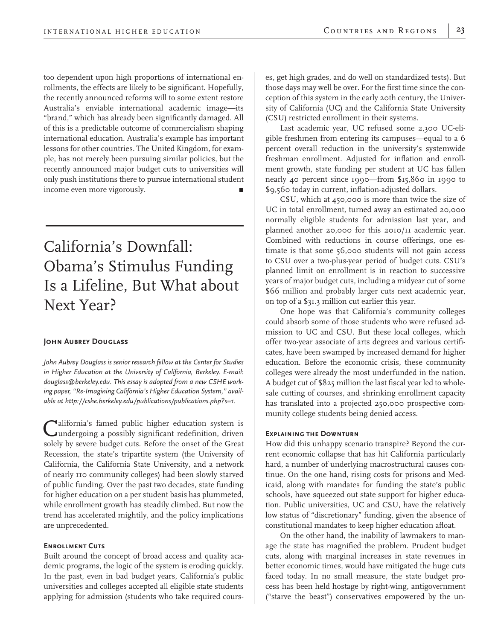INTERNATIONAL HIGHER EDUCATION Countries and Regions **23**

too dependent upon high proportions of international enrollments, the effects are likely to be significant. Hopefully, the recently announced reforms will to some extent restore Australia's enviable international academic image—its "brand," which has already been significantly damaged. All of this is a predictable outcome of commercialism shaping international education. Australia's example has important lessons for other countries. The United Kingdom, for example, has not merely been pursuing similar policies, but the recently announced major budget cuts to universities will only push institutions there to pursue international student income even more vigorously.  $\blacksquare$ 

## California's Downfall: Obama's Stimulus Funding Is a Lifeline, But What about Next Year?

#### **John Aubrey Douglass**

*John Aubrey Douglass is senior research fellow at the Center for Studies in Higher Education at the University of California, Berkeley. E-mail: douglass@berkeley.edu. This essay is adopted from a new CSHE working paper, "Re-Imagining California's Higher Education System," available at http://cshe.berkeley.edu/publications/publications.php?s=1.*

California's famed public higher education system is undergoing a possibly significant redefinition, driven solely by severe budget cuts. Before the onset of the Great Recession, the state's tripartite system (the University of California, the California State University, and a network of nearly 110 community colleges) had been slowly starved of public funding. Over the past two decades, state funding for higher education on a per student basis has plummeted, while enrollment growth has steadily climbed. But now the trend has accelerated mightily, and the policy implications are unprecedented.

#### **ENROLLMENT CUTS**

Built around the concept of broad access and quality academic programs, the logic of the system is eroding quickly. In the past, even in bad budget years, California's public universities and colleges accepted all eligible state students applying for admission (students who take required courses, get high grades, and do well on standardized tests). But those days may well be over. For the first time since the conception of this system in the early 20th century, the University of California (UC) and the California State University (CSU) restricted enrollment in their systems.

Last academic year, UC refused some 2,300 UC-eligible freshmen from entering its campuses—equal to a 6 percent overall reduction in the university's systemwide freshman enrollment. Adjusted for inflation and enrollment growth, state funding per student at UC has fallen nearly 40 percent since 1990—from \$15,860 in 1990 to \$9,560 today in current, inflation-adjusted dollars.

CSU, which at 450,000 is more than twice the size of UC in total enrollment, turned away an estimated 20,000 normally eligible students for admission last year, and planned another 20,000 for this 2010/11 academic year. Combined with reductions in course offerings, one estimate is that some 56,000 students will not gain access to CSU over a two-plus-year period of budget cuts. CSU's planned limit on enrollment is in reaction to successive years of major budget cuts, including a midyear cut of some \$66 million and probably larger cuts next academic year, on top of a \$31.3 million cut earlier this year.

One hope was that California's community colleges could absorb some of those students who were refused admission to UC and CSU. But these local colleges, which offer two-year associate of arts degrees and various certificates, have been swamped by increased demand for higher education. Before the economic crisis, these community colleges were already the most underfunded in the nation. A budget cut of \$825 million the last fiscal year led to wholesale cutting of courses, and shrinking enrollment capacity has translated into a projected 250,000 prospective community college students being denied access.

#### **Explaining the Downturn**

How did this unhappy scenario transpire? Beyond the current economic collapse that has hit California particularly hard, a number of underlying macrostructural causes continue. On the one hand, rising costs for prisons and Medicaid, along with mandates for funding the state's public schools, have squeezed out state support for higher education. Public universities, UC and CSU, have the relatively low status of "discretionary" funding, given the absence of constitutional mandates to keep higher education afloat.

On the other hand, the inability of lawmakers to manage the state has magnified the problem. Prudent budget cuts, along with marginal increases in state revenues in better economic times, would have mitigated the huge cuts faced today. In no small measure, the state budget process has been held hostage by right-wing, antigovernment ("starve the beast") conservatives empowered by the un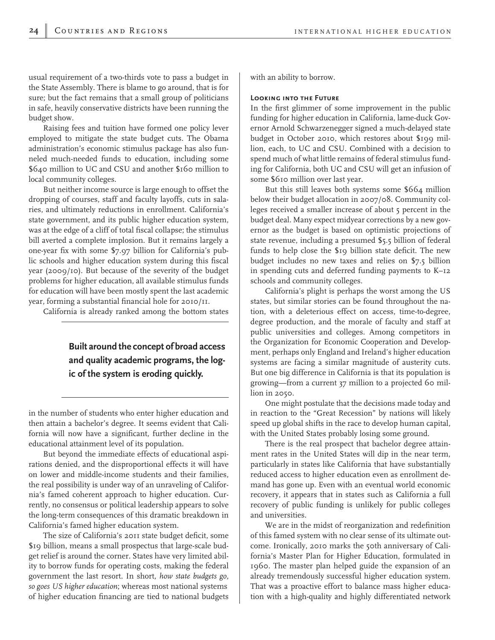usual requirement of a two-thirds vote to pass a budget in the State Assembly. There is blame to go around, that is for sure; but the fact remains that a small group of politicians in safe, heavily conservative districts have been running the budget show.

Raising fees and tuition have formed one policy lever employed to mitigate the state budget cuts. The Obama administration's economic stimulus package has also funneled much-needed funds to education, including some \$640 million to UC and CSU and another \$160 million to local community colleges.

But neither income source is large enough to offset the dropping of courses, staff and faculty layoffs, cuts in salaries, and ultimately reductions in enrollment. California's state government, and its public higher education system, was at the edge of a cliff of total fiscal collapse; the stimulus bill averted a complete implosion. But it remains largely a one-year fix with some \$7.97 billion for California's public schools and higher education system during this fiscal year (2009/10). But because of the severity of the budget problems for higher education, all available stimulus funds for education will have been mostly spent the last academic year, forming a substantial financial hole for 2010/11.

California is already ranked among the bottom states

**Built around the concept of broad access and quality academic programs, the logic of the system is eroding quickly.** 

in the number of students who enter higher education and then attain a bachelor's degree. It seems evident that California will now have a significant, further decline in the educational attainment level of its population.

But beyond the immediate effects of educational aspirations denied, and the disproportional effects it will have on lower and middle-income students and their families, the real possibility is under way of an unraveling of California's famed coherent approach to higher education. Currently, no consensus or political leadership appears to solve the long-term consequences of this dramatic breakdown in California's famed higher education system.

The size of California's 2011 state budget deficit, some \$19 billion, means a small prospectus that large-scale budget relief is around the corner. States have very limited ability to borrow funds for operating costs, making the federal government the last resort. In short, *how state budgets go, so goes US higher education*; whereas most national systems of higher education financing are tied to national budgets with an ability to borrow.

#### **Looking into the Future**

In the first glimmer of some improvement in the public funding for higher education in California, lame-duck Governor Arnold Schwarzenegger signed a much-delayed state budget in October 2010, which restores about \$199 million, each, to UC and CSU. Combined with a decision to spend much of what little remains of federal stimulus funding for California, both UC and CSU will get an infusion of some \$610 million over last year.

But this still leaves both systems some \$664 million below their budget allocation in 2007/08. Community colleges received a smaller increase of about 5 percent in the budget deal. Many expect midyear corrections by a new governor as the budget is based on optimistic projections of state revenue, including a presumed \$5.5 billion of federal funds to help close the \$19 billion state deficit. The new budget includes no new taxes and relies on \$7.5 billion in spending cuts and deferred funding payments to K–12 schools and community colleges.

California's plight is perhaps the worst among the US states, but similar stories can be found throughout the nation, with a deleterious effect on access, time-to-degree, degree production, and the morale of faculty and staff at public universities and colleges. Among competitors in the Organization for Economic Cooperation and Development, perhaps only England and Ireland's higher education systems are facing a similar magnitude of austerity cuts. But one big difference in California is that its population is growing—from a current 37 million to a projected 60 million in 2050.

One might postulate that the decisions made today and in reaction to the "Great Recession" by nations will likely speed up global shifts in the race to develop human capital, with the United States probably losing some ground.

There is the real prospect that bachelor degree attainment rates in the United States will dip in the near term, particularly in states like California that have substantially reduced access to higher education even as enrollment demand has gone up. Even with an eventual world economic recovery, it appears that in states such as California a full recovery of public funding is unlikely for public colleges and universities.

We are in the midst of reorganization and redefinition of this famed system with no clear sense of its ultimate outcome. Ironically, 2010 marks the 50th anniversary of California's Master Plan for Higher Education, formulated in 1960. The master plan helped guide the expansion of an already tremendously successful higher education system. That was a proactive effort to balance mass higher education with a high-quality and highly differentiated network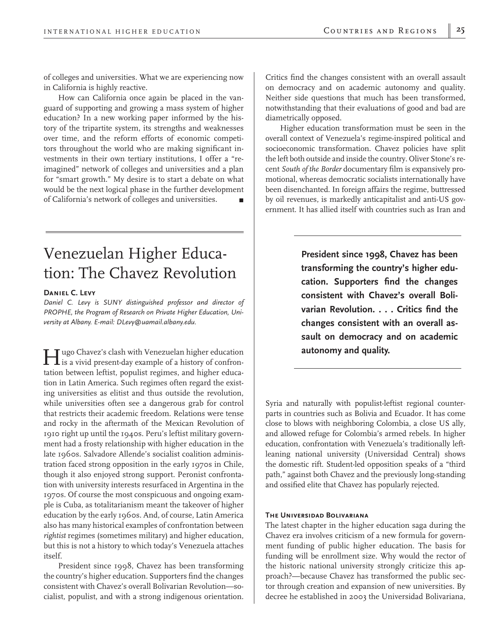of colleges and universities. What we are experiencing now in California is highly reactive.

How can California once again be placed in the vanguard of supporting and growing a mass system of higher education? In a new working paper informed by the history of the tripartite system, its strengths and weaknesses over time, and the reform efforts of economic competitors throughout the world who are making significant investments in their own tertiary institutions, I offer a "reimagined" network of colleges and universities and a plan for "smart growth." My desire is to start a debate on what would be the next logical phase in the further development of California's network of colleges and universities.

## Venezuelan Higher Education: The Chavez Revolution

### **Daniel C. Levy**

*Daniel C. Levy is SUNY distinguished professor and director of PROPHE, the Program of Research on Private Higher Education, University at Albany. E-mail: DLevy@uamail.albany.edu.*

Hugo Chavez's clash with Venezuelan higher education is a vivid present-day example of a history of confrontation between leftist, populist regimes, and higher education in Latin America. Such regimes often regard the existing universities as elitist and thus outside the revolution, while universities often see a dangerous grab for control that restricts their academic freedom. Relations were tense and rocky in the aftermath of the Mexican Revolution of 1910 right up until the 1940s. Peru's leftist military government had a frosty relationship with higher education in the late 1960s. Salvadore Allende's socialist coalition administration faced strong opposition in the early 1970s in Chile, though it also enjoyed strong support. Peronist confrontation with university interests resurfaced in Argentina in the 1970s. Of course the most conspicuous and ongoing example is Cuba, as totalitarianism meant the takeover of higher education by the early 1960s. And, of course, Latin America also has many historical examples of confrontation between *rightist* regimes (sometimes military) and higher education, but this is not a history to which today's Venezuela attaches itself.

President since 1998, Chavez has been transforming the country's higher education. Supporters find the changes consistent with Chavez's overall Bolivarian Revolution—socialist, populist, and with a strong indigenous orientation.

Critics find the changes consistent with an overall assault on democracy and on academic autonomy and quality. Neither side questions that much has been transformed, notwithstanding that their evaluations of good and bad are diametrically opposed.

Higher education transformation must be seen in the overall context of Venezuela's regime-inspired political and socioeconomic transformation. Chavez policies have split the left both outside and inside the country. Oliver Stone's recent *South of the Border* documentary film is expansively promotional, whereas democratic socialists internationally have been disenchanted. In foreign affairs the regime, buttressed by oil revenues, is markedly anticapitalist and anti-US government. It has allied itself with countries such as Iran and

> **President since 1998, Chavez has been transforming the country's higher education. Supporters find the changes consistent with Chavez's overall Bolivarian Revolution. . . . Critics find the changes consistent with an overall assault on democracy and on academic autonomy and quality.**

Syria and naturally with populist-leftist regional counterparts in countries such as Bolivia and Ecuador. It has come close to blows with neighboring Colombia, a close US ally, and allowed refuge for Colombia's armed rebels. In higher education, confrontation with Venezuela's traditionally leftleaning national university (Universidad Central) shows the domestic rift. Student-led opposition speaks of a "third path," against both Chavez and the previously long-standing and ossified elite that Chavez has popularly rejected.

#### **The Universidad Bolivariana**

The latest chapter in the higher education saga during the Chavez era involves criticism of a new formula for government funding of public higher education. The basis for funding will be enrollment size. Why would the rector of the historic national university strongly criticize this approach?—because Chavez has transformed the public sector through creation and expansion of new universities. By decree he established in 2003 the Universidad Bolivariana,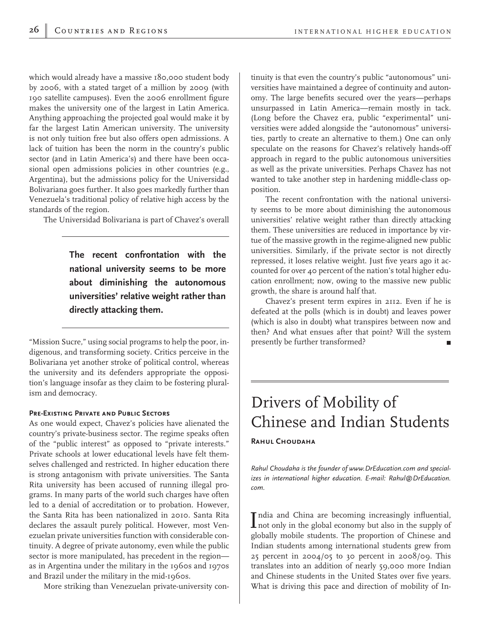which would already have a massive 180,000 student body by 2006, with a stated target of a million by 2009 (with 190 satellite campuses). Even the 2006 enrollment figure makes the university one of the largest in Latin America. Anything approaching the projected goal would make it by far the largest Latin American university. The university is not only tuition free but also offers open admissions. A lack of tuition has been the norm in the country's public sector (and in Latin America's) and there have been occasional open admissions policies in other countries (e.g., Argentina), but the admissions policy for the Universidad Bolivariana goes further. It also goes markedly further than Venezuela's traditional policy of relative high access by the standards of the region.

The Universidad Bolivariana is part of Chavez's overall

**The recent confrontation with the national university seems to be more about diminishing the autonomous universities' relative weight rather than directly attacking them.** 

"Mission Sucre," using social programs to help the poor, indigenous, and transforming society. Critics perceive in the Bolivariana yet another stroke of political control, whereas the university and its defenders appropriate the opposition's language insofar as they claim to be fostering pluralism and democracy.

#### **Pre-Existing Private and Public Sectors**

As one would expect, Chavez's policies have alienated the country's private-business sector. The regime speaks often of the "public interest" as opposed to "private interests." Private schools at lower educational levels have felt themselves challenged and restricted. In higher education there is strong antagonism with private universities. The Santa Rita university has been accused of running illegal programs. In many parts of the world such charges have often led to a denial of accreditation or to probation. However, the Santa Rita has been nationalized in 2010. Santa Rita declares the assault purely political. However, most Venezuelan private universities function with considerable continuity. A degree of private autonomy, even while the public sector is more manipulated, has precedent in the region as in Argentina under the military in the 1960s and 1970s and Brazil under the military in the mid-1960s.

More striking than Venezuelan private-university con-

tinuity is that even the country's public "autonomous" universities have maintained a degree of continuity and autonomy. The large benefits secured over the years—perhaps unsurpassed in Latin America—remain mostly in tack. (Long before the Chavez era, public "experimental" universities were added alongside the "autonomous" universities, partly to create an alternative to them.) One can only speculate on the reasons for Chavez's relatively hands-off approach in regard to the public autonomous universities as well as the private universities. Perhaps Chavez has not wanted to take another step in hardening middle-class opposition.

The recent confrontation with the national university seems to be more about diminishing the autonomous universities' relative weight rather than directly attacking them. These universities are reduced in importance by virtue of the massive growth in the regime-aligned new public universities. Similarly, if the private sector is not directly repressed, it loses relative weight. Just five years ago it accounted for over 40 percent of the nation's total higher education enrollment; now, owing to the massive new public growth, the share is around half that.

Chavez's present term expires in 2112. Even if he is defeated at the polls (which is in doubt) and leaves power (which is also in doubt) what transpires between now and then? And what ensues after that point? Will the system presently be further transformed?

# Drivers of Mobility of Chinese and Indian Students

### **Rahul Choudaha**

*Rahul Choudaha is the founder of www.DrEducation.com and specializes in international higher education. E-mail: Rahul@DrEducation. com.*

India and China are becoming increasingly influential,<br>not only in the global economy but also in the supply of India and China are becoming increasingly influential, globally mobile students. The proportion of Chinese and Indian students among international students grew from 25 percent in 2004/05 to 30 percent in 2008/09. This translates into an addition of nearly 59,000 more Indian and Chinese students in the United States over five years. What is driving this pace and direction of mobility of In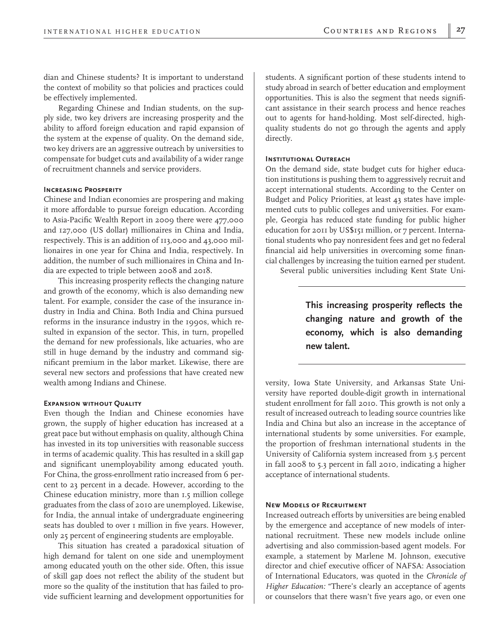dian and Chinese students? It is important to understand the context of mobility so that policies and practices could be effectively implemented.

Regarding Chinese and Indian students, on the supply side, two key drivers are increasing prosperity and the ability to afford foreign education and rapid expansion of the system at the expense of quality. On the demand side, two key drivers are an aggressive outreach by universities to compensate for budget cuts and availability of a wider range of recruitment channels and service providers.

#### **Increasing Prosperity**

Chinese and Indian economies are prospering and making it more affordable to pursue foreign education. According to Asia-Pacific Wealth Report in 2009 there were 477,000 and 127,000 (US dollar) millionaires in China and India, respectively. This is an addition of 113,000 and 43,000 millionaires in one year for China and India, respectively. In addition, the number of such millionaires in China and India are expected to triple between 2008 and 2018.

This increasing prosperity reflects the changing nature and growth of the economy, which is also demanding new talent. For example, consider the case of the insurance industry in India and China. Both India and China pursued reforms in the insurance industry in the 1990s, which resulted in expansion of the sector. This, in turn, propelled the demand for new professionals, like actuaries, who are still in huge demand by the industry and command significant premium in the labor market. Likewise, there are several new sectors and professions that have created new wealth among Indians and Chinese.

#### **Expansion without Quality**

Even though the Indian and Chinese economies have grown, the supply of higher education has increased at a great pace but without emphasis on quality, although China has invested in its top universities with reasonable success in terms of academic quality. This has resulted in a skill gap and significant unemployability among educated youth. For China, the gross-enrollment ratio increased from 6 percent to 23 percent in a decade. However, according to the Chinese education ministry, more than 1.5 million college graduates from the class of 2010 are unemployed. Likewise, for India, the annual intake of undergraduate engineering seats has doubled to over I million in five years. However, only 25 percent of engineering students are employable.

This situation has created a paradoxical situation of high demand for talent on one side and unemployment among educated youth on the other side. Often, this issue of skill gap does not reflect the ability of the student but more so the quality of the institution that has failed to provide sufficient learning and development opportunities for

students. A significant portion of these students intend to study abroad in search of better education and employment opportunities. This is also the segment that needs significant assistance in their search process and hence reaches out to agents for hand-holding. Most self-directed, highquality students do not go through the agents and apply directly.

#### **Institutional Outreach**

On the demand side, state budget cuts for higher education institutions is pushing them to aggressively recruit and accept international students. According to the Center on Budget and Policy Priorities, at least 43 states have implemented cuts to public colleges and universities. For example, Georgia has reduced state funding for public higher education for 2011 by US\$151 million, or 7 percent. International students who pay nonresident fees and get no federal financial aid help universities in overcoming some financial challenges by increasing the tuition earned per student.

Several public universities including Kent State Uni-

**This increasing prosperity reflects the changing nature and growth of the economy, which is also demanding new talent.** 

versity, Iowa State University, and Arkansas State University have reported double-digit growth in international student enrollment for fall 2010. This growth is not only a result of increased outreach to leading source countries like India and China but also an increase in the acceptance of international students by some universities. For example, the proportion of freshman international students in the University of California system increased from 3.5 percent in fall 2008 to 5.3 percent in fall 2010, indicating a higher acceptance of international students.

#### **New Models of Recruitment**

Increased outreach efforts by universities are being enabled by the emergence and acceptance of new models of international recruitment. These new models include online advertising and also commission-based agent models. For example, a statement by Marlene M. Johnson, executive director and chief executive officer of NAFSA: Association of International Educators, was quoted in the *Chronicle of Higher Education:* "There's clearly an acceptance of agents or counselors that there wasn't five years ago, or even one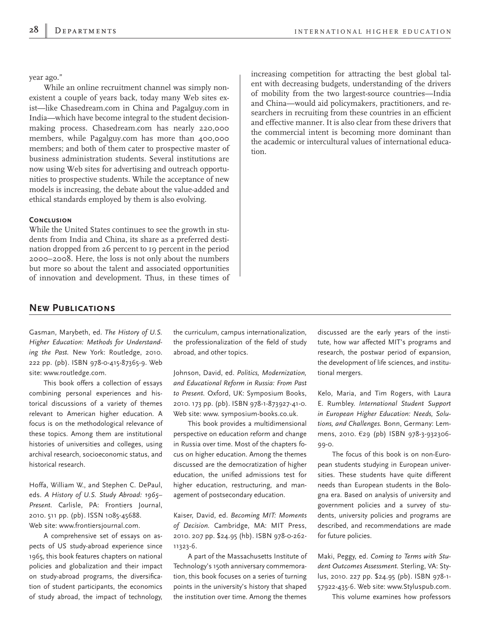year ago."

While an online recruitment channel was simply nonexistent a couple of years back, today many Web sites exist—like Chasedream.com in China and Pagalguy.com in India—which have become integral to the student decisionmaking process. Chasedream.com has nearly 220,000 members, while Pagalguy.com has more than 400,000 members; and both of them cater to prospective master of business administration students. Several institutions are now using Web sites for advertising and outreach opportunities to prospective students. While the acceptance of new models is increasing, the debate about the value-added and ethical standards employed by them is also evolving.

#### **Conclusion**

While the United States continues to see the growth in students from India and China, its share as a preferred destination dropped from 26 percent to 19 percent in the period 2000–2008. Here, the loss is not only about the numbers but more so about the talent and associated opportunities of innovation and development. Thus, in these times of increasing competition for attracting the best global talent with decreasing budgets, understanding of the drivers of mobility from the two largest-source countries—India and China—would aid policymakers, practitioners, and researchers in recruiting from these countries in an efficient and effective manner. It is also clear from these drivers that the commercial intent is becoming more dominant than the academic or intercultural values of international education.

## **New Publications**

Gasman, Marybeth, ed. *The History of U.S. Higher Education: Methods for Understanding the Past.* New York: Routledge, 2010. 222 pp. (pb). ISBN 978-0-415-87365-9. Web site: www.routledge.com.

This book offers a collection of essays combining personal experiences and historical discussions of a variety of themes relevant to American higher education. A focus is on the methodological relevance of these topics. Among them are institutional histories of universities and colleges, using archival research, socioeconomic status, and historical research.

Hoffa, William W., and Stephen C. DePaul, eds. *A History of U.S. Study Abroad: 1965– Present.* Carlisle, PA: Frontiers Journal, 2010. 511 pp. (pb). ISSN 1085-45688. Web site: www.frontiersjournal.com.

A comprehensive set of essays on aspects of US study-abroad experience since 1965, this book features chapters on national policies and globalization and their impact on study-abroad programs, the diversification of student participants, the economics of study abroad, the impact of technology, the curriculum, campus internationalization, the professionalization of the field of study abroad, and other topics.

Johnson, David, ed. *Politics, Modernization, and Educational Reform in Russia: From Past to Present.* Oxford, UK: Symposium Books, 2010. 173 pp. (pb). ISBN 978-1-873927-41-0. Web site: www. symposium-books.co.uk.

This book provides a multidimensional perspective on education reform and change in Russia over time. Most of the chapters focus on higher education. Among the themes discussed are the democratization of higher education, the unified admissions test for higher education, restructuring, and management of postsecondary education.

Kaiser, David, ed. *Becoming MIT: Moments of Decision.* Cambridge, MA: MIT Press, 2010. 207 pp. \$24.95 (hb). ISBN 978-0-262- 11323-6.

A part of the Massachusetts Institute of Technology's 150th anniversary commemoration, this book focuses on a series of turning points in the university's history that shaped the institution over time. Among the themes

discussed are the early years of the institute, how war affected MIT's programs and research, the postwar period of expansion, the development of life sciences, and institutional mergers.

Kelo, Maria, and Tim Rogers, with Laura E. Rumbley. *International Student Support in European Higher Education: Needs, Solutions, and Challenges.* Bonn, Germany: Lemmens, 2010. €29 (pb) ISBN 978-3-932306- 99-0.

The focus of this book is on non-European students studying in European universities. These students have quite different needs than European students in the Bologna era. Based on analysis of university and government policies and a survey of students, university policies and programs are described, and recommendations are made for future policies.

Maki, Peggy, ed. *Coming to Terms with Student Outcomes Assessment.* Sterling, VA: Stylus, 2010. 227 pp. \$24.95 (pb). ISBN 978-1- 57922-435-6. Web site: www.Styluspub.com.

This volume examines how professors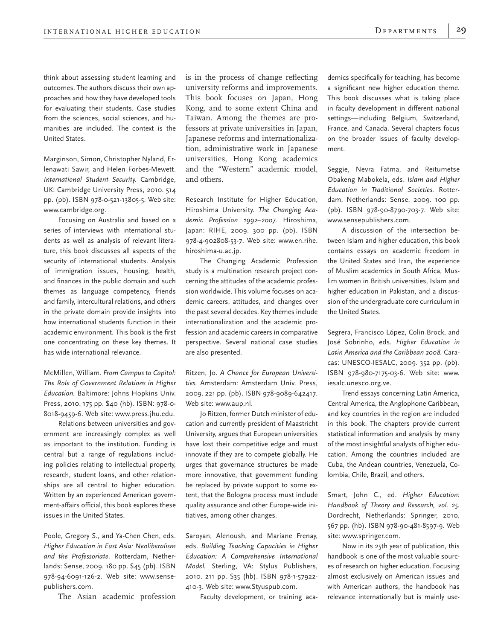think about assessing student learning and outcomes. The authors discuss their own approaches and how they have developed tools for evaluating their students. Case studies from the sciences, social sciences, and humanities are included. The context is the United States.

Marginson, Simon, Christopher Nyland, Erlenawati Sawir, and Helen Forbes-Mewett. *International Student Security.* Cambridge, UK: Cambridge University Press, 2010. 514 pp. (pb). ISBN 978-0-521-13805-5. Web site: www.cambridge.org.

Focusing on Australia and based on a series of interviews with international students as well as analysis of relevant literature, this book discusses all aspects of the security of international students. Analysis of immigration issues, housing, health, and finances in the public domain and such themes as language competency, friends and family, intercultural relations, and others in the private domain provide insights into how international students function in their academic environment. This book is the first one concentrating on these key themes. It has wide international relevance.

McMillen, William. *From Campus to Capitol: The Role of Government Relations in Higher Education.* Baltimore: Johns Hopkins Univ. Press, 2010. 175 pp. \$40 (hb). ISBN: 978-0- 8018-9459-6. Web site: www.press.jhu.edu.

Relations between universities and government are increasingly complex as well as important to the institution. Funding is central but a range of regulations including policies relating to intellectual property, research, student loans, and other relationships are all central to higher education. Written by an experienced American government-affairs official, this book explores these issues in the United States.

Poole, Gregory S., and Ya-Chen Chen, eds. *Higher Education in East Asia: Neoliberalism and the Professoriate.* Rotterdam, Netherlands: Sense, 2009. 180 pp. \$45 (pb). ISBN 978-94-6091-126-2. Web site: www.sensepublishers.com.

The Asian academic profession

is in the process of change reflecting university reforms and improvements. This book focuses on Japan, Hong Kong, and to some extent China and Taiwan. Among the themes are professors at private universities in Japan, Japanese reforms and internationalization, administrative work in Japanese universities, Hong Kong academics and the "Western" academic model, and others.

Research Institute for Higher Education, Hiroshima University. *The Changing Academic Profession 1992–2007.* Hiroshima, Japan: RIHE, 2009. 300 pp. (pb). ISBN 978-4-902808-53-7. Web site: www.en.rihe. hiroshima-u.ac.jp.

The Changing Academic Profession study is a multination research project concerning the attitudes of the academic profession worldwide. This volume focuses on academic careers, attitudes, and changes over the past several decades. Key themes include internationalization and the academic profession and academic careers in comparative perspective. Several national case studies are also presented.

Ritzen, Jo. *A Chance for European Universities.* Amsterdam: Amsterdam Univ. Press, 2009. 221 pp. (pb). ISBN 978-9089-642417. Web site: www.aup.nl.

Jo Ritzen, former Dutch minister of education and currently president of Maastricht University, argues that European universities have lost their competitive edge and must innovate if they are to compete globally. He urges that governance structures be made more innovative, that government funding be replaced by private support to some extent, that the Bologna process must include quality assurance and other Europe-wide initiatives, among other changes.

Saroyan, Alenoush, and Mariane Frenay, eds. *Building Teaching Capacities in Higher Education: A Comprehensive International Model.* Sterling, VA: Stylus Publishers, 2010. 211 pp. \$35 (hb). ISBN 978-1-57922- 410-3. Web site: www.Styuspub.com.

Faculty development, or training aca-

demics specifically for teaching, has become a significant new higher education theme. This book discusses what is taking place in faculty development in different national settings—including Belgium, Switzerland, France, and Canada. Several chapters focus on the broader issues of faculty development.

Seggie, Nevra Fatma, and Reitumetse Obakeng Mabokela, eds. *Islam and Higher Education in Traditional Societies.* Rotterdam, Netherlands: Sense, 2009. 100 pp. (pb). ISBN 978-90-8790-703-7. Web site: www.sensepublishers.com.

A discussion of the intersection between Islam and higher education, this book contains essays on academic freedom in the United States and Iran, the experience of Muslim academics in South Africa, Muslim women in British universities, Islam and higher education in Pakistan, and a discussion of the undergraduate core curriculum in the United States.

Segrera, Francisco López, Colin Brock, and José Sobrinho, eds. *Higher Education in Latin America and the Caribbean 2008.* Caracas: UNESCO-IESALC, 2009. 352 pp. (pb). ISBN 978-980-7175-03-6. Web site: www. iesalc.unesco.org.ve.

Trend essays concerning Latin America, Central America, the Anglophone Caribbean, and key countries in the region are included in this book. The chapters provide current statistical information and analysis by many of the most insightful analysts of higher education. Among the countries included are Cuba, the Andean countries, Venezuela, Colombia, Chile, Brazil, and others.

Smart, John C., ed. *Higher Education: Handbook of Theory and Research, vol. 25.*  Dordrecht, Netherlands: Springer, 2010. 567 pp. (hb). ISBN 978-90-481-8597-9. Web site: www.springer.com.

Now in its 25th year of publication, this handbook is one of the most valuable sources of research on higher education. Focusing almost exclusively on American issues and with American authors, the handbook has relevance internationally but is mainly use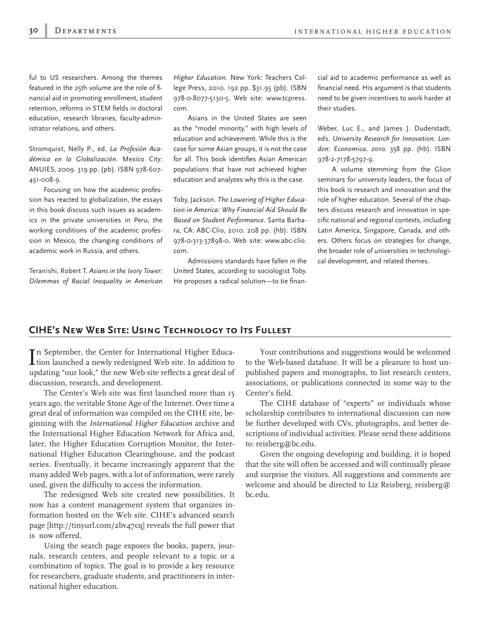ful to US researchers. Among the themes featured in the 25th volume are the role of financial aid in promoting enrollment, student retention, reforms in STEM fields in doctoral education, research libraries, faculty-administrator relations, and others.

Stromquist, Nelly P., ed. *La Profesión Académica en la Globalización.* Mexico City: ANUIES, 2009. 319 pp. (pb). ISBN 978-607- 451-008-9.

Focusing on how the academic profession has reacted to globalization, the essays in this book discuss such issues as academics in the private universities in Peru, the working conditions of the academic profession in Mexico, the changing conditions of academic work in Russia, and others.

Teranishi, Robert T. *Asians in the Ivory Tower: Dilemmas of Racial Inequality in American*  *Higher Education.* New York: Teachers College Press, 2010. 192 pp. \$31.95 (pb). ISBN 978-0-8077-5130-5. Web site: www.tcpress. com.

Asians in the United States are seen as the "model minority," with high levels of education and achievement. While this is the case for some Asian groups, it is not the case for all. This book identifies Asian American populations that have not achieved higher education and analyzes why this is the case.

Toby, Jackson. *The Lowering of Higher Education in America: Why Financial Aid Should Be Based on Student Performance.* Santa Barbara, CA: ABC-Clio, 2010. 208 pp. (hb). ISBN 978-0-313-37898-0. Web site: www.abc-clio. com.

Admissions standards have fallen in the United States, according to sociologist Toby. He proposes a radical solution—to tie financial aid to academic performance as well as financial need. His argument is that students need to be given incentives to work harder at their studies.

Weber, Luc E., and James J. Duderstadt, eds. *University Research for Innovation. London: Economica, 2010.* 358 pp. (hb). ISBN 978-2-7178-5797-9.

A volume stemming from the Glion seminars for university leaders, the focus of this book is research and innovation and the role of higher education. Several of the chapters discuss research and innovation in specific national and regional contexts, including Latin America, Singapore, Canada, and others. Others focus on strategies for change, the broader role of universities in technological development, and related themes.

## **CIHE's New Web Site: Using Technology to Its Fullest**

In September, the Center for International Higher Education launched a newly redesigned Web site. In addition to **T** n September, the Center for International Higher Educaupdating "our look," the new Web site reflects a great deal of discussion, research, and development.

The Center's Web site was first launched more than 15 years ago, the veritable Stone Age of the Internet. Over time a great deal of information was compiled on the CIHE site, beginning with the *International Higher Education* archive and the International Higher Education Network for Africa and, later, the Higher Education Corruption Monitor, the International Higher Education Clearinghouse, and the podcast series. Eventually, it became increasingly apparent that the many added Web pages, with a lot of information, were rarely used, given the difficulty to access the information.

The redesigned Web site created new possibilities. It now has a content management system that organizes information hosted on the Web site. CIHE's advanced search page [http://tinyurl.com/2bv47cq] reveals the full power that is now offered.

Using the search page exposes the books, papers, journals, research centers, and people relevant to a topic or a combination of topics. The goal is to provide a key resource for researchers, graduate students, and practitioners in international higher education.

Your contributions and suggestions would be welcomed to the Web-based database. It will be a pleasure to host unpublished papers and monographs, to list research centers, associations, or publications connected in some way to the Center's field.

The CIHE database of "experts" or individuals whose scholarship contributes to international discussion can now be further developed with CVs, photographs, and better descriptions of individual activities. Please send these additions to: reisberg@bc.edu.

Given the ongoing developing and building, it is hoped that the site will often be accessed and will continually please and surprise the visitors. All suggestions and comments are welcome and should be directed to Liz Reisberg, reisberg@ bc.edu.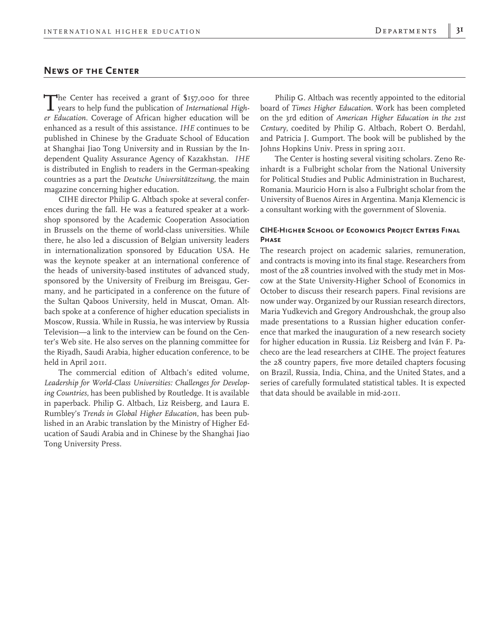## **News of the Center**

The Center has received a grant of \$157,000 for three years to help fund the publication of *International Higher Education*. Coverage of African higher education will be enhanced as a result of this assistance. *IHE* continues to be published in Chinese by the Graduate School of Education at Shanghai Jiao Tong University and in Russian by the Independent Quality Assurance Agency of Kazakhstan. *IHE*  is distributed in English to readers in the German-speaking countries as a part the *Deutsche Universitätzeitung,* the main magazine concerning higher education.

CIHE director Philip G. Altbach spoke at several conferences during the fall. He was a featured speaker at a workshop sponsored by the Academic Cooperation Association in Brussels on the theme of world-class universities. While there, he also led a discussion of Belgian university leaders in internationalization sponsored by Education USA. He was the keynote speaker at an international conference of the heads of university-based institutes of advanced study, sponsored by the University of Freiburg im Breisgau, Germany, and he participated in a conference on the future of the Sultan Qaboos University, held in Muscat, Oman. Altbach spoke at a conference of higher education specialists in Moscow, Russia. While in Russia, he was interview by Russia Television—a link to the interview can be found on the Center's Web site. He also serves on the planning committee for the Riyadh, Saudi Arabia, higher education conference, to be held in April 2011.

The commercial edition of Altbach's edited volume, *Leadership for World-Class Universities: Challenges for Developing Countries*, has been published by Routledge. It is available in paperback. Philip G. Altbach, Liz Reisberg, and Laura E. Rumbley's *Trends in Global Higher Education*, has been published in an Arabic translation by the Ministry of Higher Education of Saudi Arabia and in Chinese by the Shanghai Jiao Tong University Press.

Philip G. Altbach was recently appointed to the editorial board of *Times Higher Education*. Work has been completed on the 3rd edition of *American Higher Education in the 21st Century*, coedited by Philip G. Altbach, Robert O. Berdahl, and Patricia J. Gumport. The book will be published by the Johns Hopkins Univ. Press in spring 2011.

The Center is hosting several visiting scholars. Zeno Reinhardt is a Fulbright scholar from the National University for Political Studies and Public Administration in Bucharest, Romania. Mauricio Horn is also a Fulbright scholar from the University of Buenos Aires in Argentina. Manja Klemencic is a consultant working with the government of Slovenia.

#### **CIHE-Higher School of Economics Project Enters Final Phase**

The research project on academic salaries, remuneration, and contracts is moving into its final stage. Researchers from most of the 28 countries involved with the study met in Moscow at the State University-Higher School of Economics in October to discuss their research papers. Final revisions are now under way. Organized by our Russian research directors, Maria Yudkevich and Gregory Androushchak, the group also made presentations to a Russian higher education conference that marked the inauguration of a new research society for higher education in Russia. Liz Reisberg and Iván F. Pacheco are the lead researchers at CIHE. The project features the 28 country papers, five more detailed chapters focusing on Brazil, Russia, India, China, and the United States, and a series of carefully formulated statistical tables. It is expected that data should be available in mid-2011.